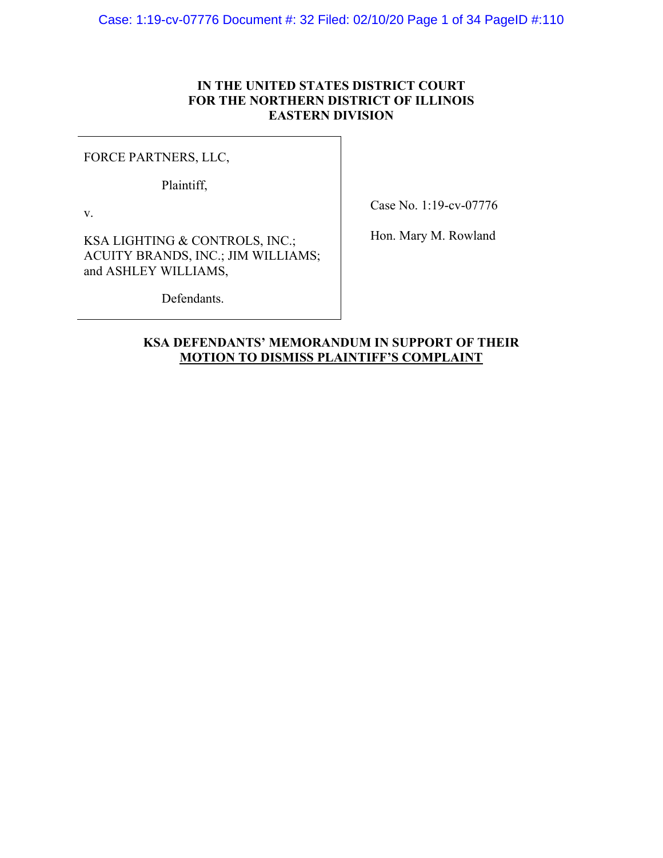# **IN THE UNITED STATES DISTRICT COURT FOR THE NORTHERN DISTRICT OF ILLINOIS EASTERN DIVISION**

FORCE PARTNERS, LLC,

Plaintiff,

v.

Case No. 1:19-cv-07776

Hon. Mary M. Rowland

KSA LIGHTING & CONTROLS, INC.; ACUITY BRANDS, INC.; JIM WILLIAMS; and ASHLEY WILLIAMS,

Defendants.

# **KSA DEFENDANTS' MEMORANDUM IN SUPPORT OF THEIR MOTION TO DISMISS PLAINTIFF'S COMPLAINT**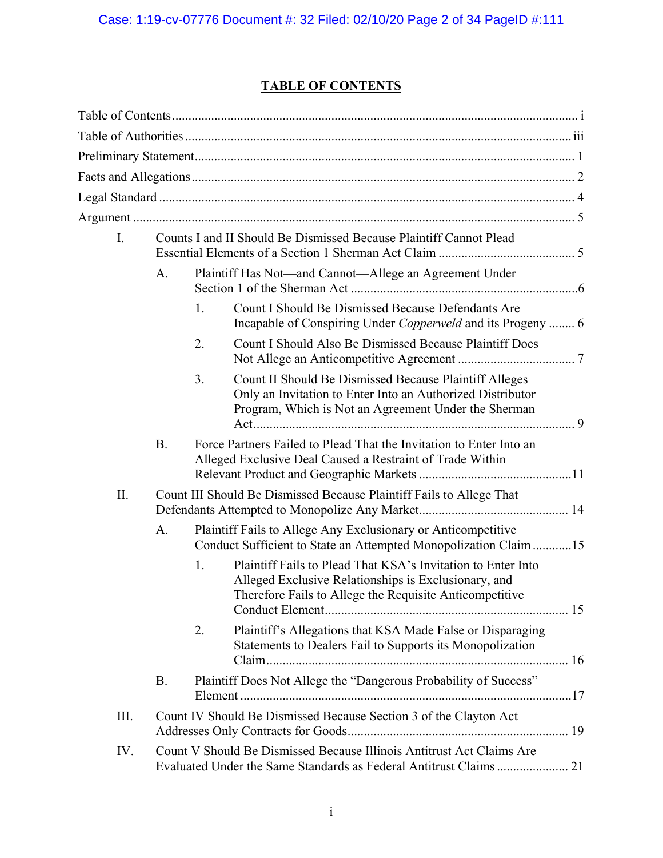# **TABLE OF CONTENTS**

| $\overline{I}$ . | Counts I and II Should Be Dismissed Because Plaintiff Cannot Plead |    |                                                                                                                                                                                 |
|------------------|--------------------------------------------------------------------|----|---------------------------------------------------------------------------------------------------------------------------------------------------------------------------------|
|                  | A.                                                                 |    | Plaintiff Has Not—and Cannot—Allege an Agreement Under                                                                                                                          |
|                  |                                                                    | 1. | Count I Should Be Dismissed Because Defendants Are<br>Incapable of Conspiring Under Copperweld and its Progeny  6                                                               |
|                  |                                                                    | 2. | <b>Count I Should Also Be Dismissed Because Plaintiff Does</b>                                                                                                                  |
|                  |                                                                    | 3. | Count II Should Be Dismissed Because Plaintiff Alleges<br>Only an Invitation to Enter Into an Authorized Distributor<br>Program, Which is Not an Agreement Under the Sherman    |
|                  | <b>B.</b>                                                          |    | Force Partners Failed to Plead That the Invitation to Enter Into an<br>Alleged Exclusive Deal Caused a Restraint of Trade Within                                                |
| II.              |                                                                    |    | Count III Should Be Dismissed Because Plaintiff Fails to Allege That                                                                                                            |
|                  | A.                                                                 |    | Plaintiff Fails to Allege Any Exclusionary or Anticompetitive<br>Conduct Sufficient to State an Attempted Monopolization Claim 15                                               |
|                  |                                                                    | 1. | Plaintiff Fails to Plead That KSA's Invitation to Enter Into<br>Alleged Exclusive Relationships is Exclusionary, and<br>Therefore Fails to Allege the Requisite Anticompetitive |
|                  |                                                                    | 2. | Plaintiff's Allegations that KSA Made False or Disparaging<br>Statements to Dealers Fail to Supports its Monopolization                                                         |
|                  | <b>B.</b>                                                          |    | Plaintiff Does Not Allege the "Dangerous Probability of Success"                                                                                                                |
| III.             |                                                                    |    | Count IV Should Be Dismissed Because Section 3 of the Clayton Act                                                                                                               |
| IV.              |                                                                    |    | Count V Should Be Dismissed Because Illinois Antitrust Act Claims Are                                                                                                           |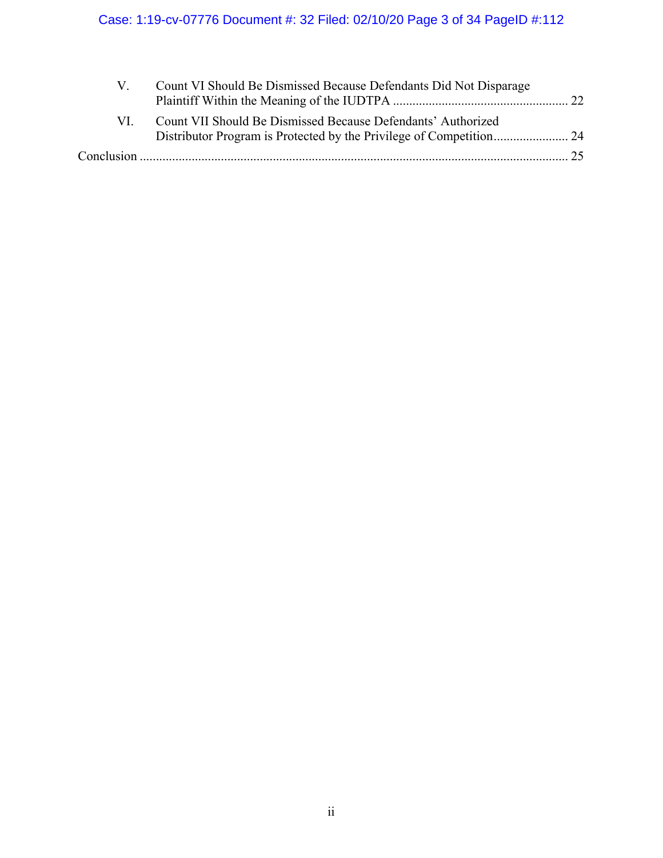# Case: 1:19-cv-07776 Document #: 32 Filed: 02/10/20 Page 3 of 34 PageID #:112

|     | Count VI Should Be Dismissed Because Defendants Did Not Disparage |  |
|-----|-------------------------------------------------------------------|--|
| VI. | Count VII Should Be Dismissed Because Defendants' Authorized      |  |
|     |                                                                   |  |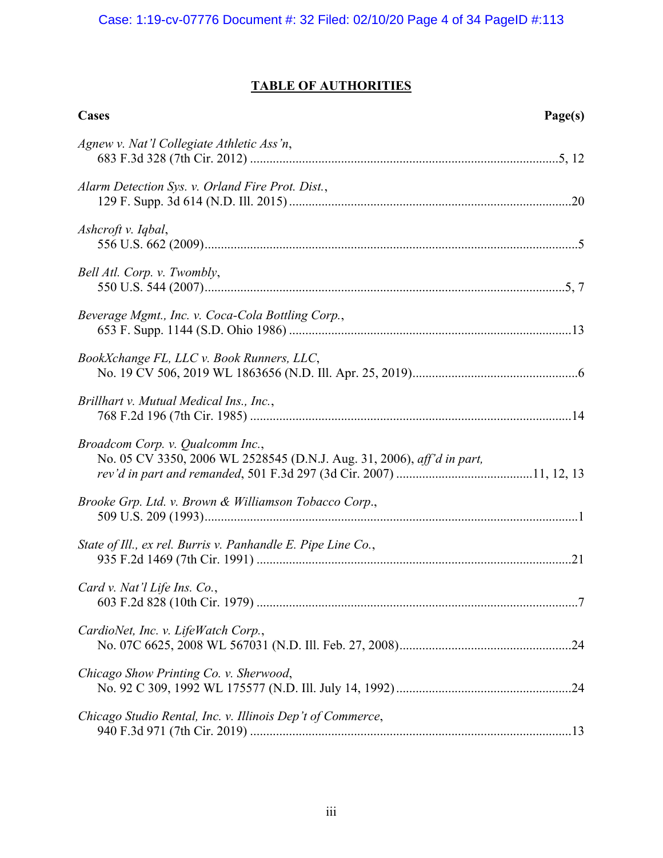# **TABLE OF AUTHORITIES**

| Cases                                                                                                      | Page(s) |
|------------------------------------------------------------------------------------------------------------|---------|
| Agnew v. Nat'l Collegiate Athletic Ass'n,                                                                  |         |
| Alarm Detection Sys. v. Orland Fire Prot. Dist.,                                                           |         |
| Ashcroft v. Iqbal,                                                                                         |         |
| Bell Atl. Corp. v. Twombly,                                                                                |         |
| Beverage Mgmt., Inc. v. Coca-Cola Bottling Corp.,                                                          |         |
| BookXchange FL, LLC v. Book Runners, LLC,                                                                  |         |
| Brillhart v. Mutual Medical Ins., Inc.,                                                                    |         |
| Broadcom Corp. v. Qualcomm Inc.,<br>No. 05 CV 3350, 2006 WL 2528545 (D.N.J. Aug. 31, 2006), aff'd in part, |         |
| Brooke Grp. Ltd. v. Brown & Williamson Tobacco Corp.,                                                      |         |
| State of Ill., ex rel. Burris v. Panhandle E. Pipe Line Co.,                                               |         |
| Card v. Nat'l Life Ins. Co.,                                                                               |         |
| CardioNet, Inc. v. LifeWatch Corp.,                                                                        |         |
| Chicago Show Printing Co. v. Sherwood,                                                                     |         |
| Chicago Studio Rental, Inc. v. Illinois Dep't of Commerce,                                                 |         |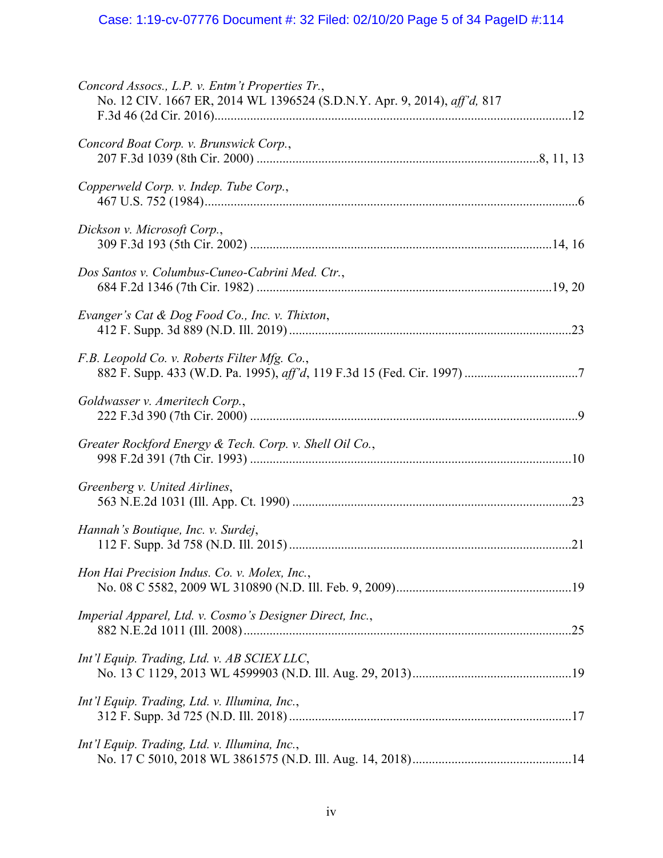| Concord Assocs., L.P. v. Entm't Properties Tr.,<br>No. 12 CIV. 1667 ER, 2014 WL 1396524 (S.D.N.Y. Apr. 9, 2014), aff'd, 817 |  |
|-----------------------------------------------------------------------------------------------------------------------------|--|
| Concord Boat Corp. v. Brunswick Corp.,                                                                                      |  |
| Copperweld Corp. v. Indep. Tube Corp.,                                                                                      |  |
| Dickson v. Microsoft Corp.,                                                                                                 |  |
| Dos Santos v. Columbus-Cuneo-Cabrini Med. Ctr.,                                                                             |  |
| Evanger's Cat & Dog Food Co., Inc. v. Thixton,                                                                              |  |
| F.B. Leopold Co. v. Roberts Filter Mfg. Co.,                                                                                |  |
| Goldwasser v. Ameritech Corp.,                                                                                              |  |
| Greater Rockford Energy & Tech. Corp. v. Shell Oil Co.,                                                                     |  |
| Greenberg v. United Airlines,                                                                                               |  |
| Hannah's Boutique, Inc. v. Surdej,                                                                                          |  |
| Hon Hai Precision Indus. Co. v. Molex, Inc.,                                                                                |  |
| Imperial Apparel, Ltd. v. Cosmo's Designer Direct, Inc.,                                                                    |  |
| Int'l Equip. Trading, Ltd. v. AB SCIEX LLC,                                                                                 |  |
| Int'l Equip. Trading, Ltd. v. Illumina, Inc.,                                                                               |  |
| Int'l Equip. Trading, Ltd. v. Illumina, Inc.,                                                                               |  |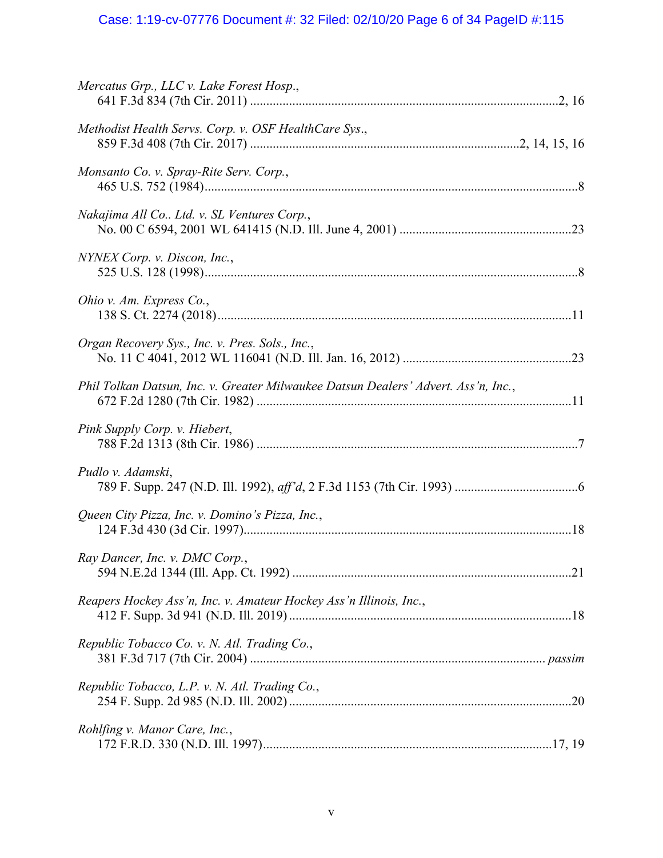# Case: 1:19-cv-07776 Document #: 32 Filed: 02/10/20 Page 6 of 34 PageID #:115

| Mercatus Grp., LLC v. Lake Forest Hosp.,                                           |
|------------------------------------------------------------------------------------|
| Methodist Health Servs. Corp. v. OSF HealthCare Sys.,                              |
| Monsanto Co. v. Spray-Rite Serv. Corp.,                                            |
| Nakajima All Co Ltd. v. SL Ventures Corp.,                                         |
| NYNEX Corp. v. Discon, Inc.,                                                       |
| Ohio v. Am. Express Co.,                                                           |
| Organ Recovery Sys., Inc. v. Pres. Sols., Inc.,                                    |
| Phil Tolkan Datsun, Inc. v. Greater Milwaukee Datsun Dealers' Advert. Ass'n, Inc., |
| Pink Supply Corp. v. Hiebert,                                                      |
| Pudlo v. Adamski,                                                                  |
| Queen City Pizza, Inc. v. Domino's Pizza, Inc.,                                    |
| Ray Dancer, Inc. v. DMC Corp.,                                                     |
| Reapers Hockey Ass'n, Inc. v. Amateur Hockey Ass'n Illinois, Inc.,                 |
| Republic Tobacco Co. v. N. Atl. Trading Co.,                                       |
| Republic Tobacco, L.P. v. N. Atl. Trading Co.,                                     |
| Rohlfing v. Manor Care, Inc.,                                                      |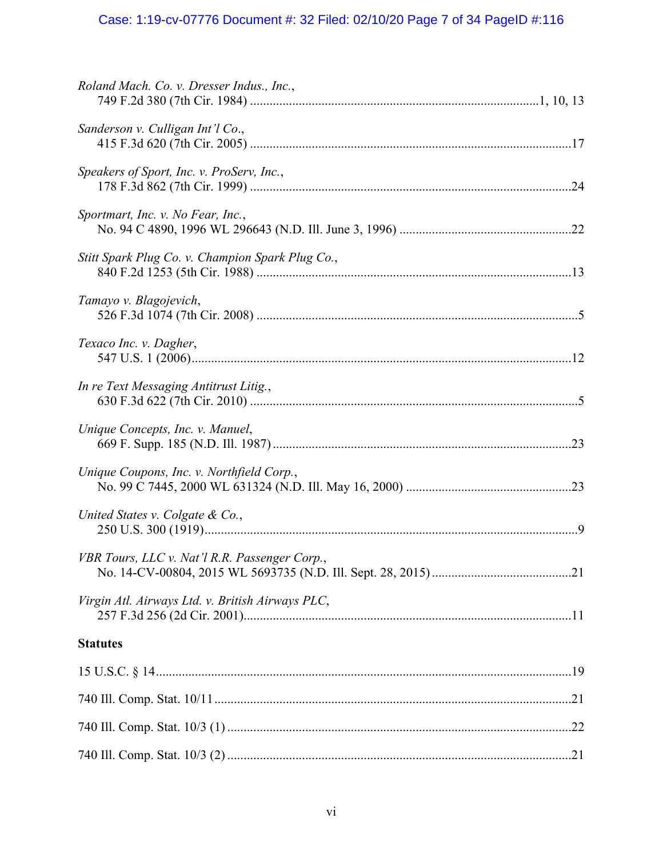# Case: 1:19-cv-07776 Document #: 32 Filed: 02/10/20 Page 7 of 34 PageID #:116

| Roland Mach. Co. v. Dresser Indus., Inc.,        |
|--------------------------------------------------|
| Sanderson v. Culligan Int'l Co.,                 |
| Speakers of Sport, Inc. v. ProServ, Inc.,        |
| Sportmart, Inc. v. No Fear, Inc.,                |
| Stitt Spark Plug Co. v. Champion Spark Plug Co., |
| Tamayo v. Blagojevich,                           |
| Texaco Inc. v. Dagher,                           |
| In re Text Messaging Antitrust Litig.,           |
| Unique Concepts, Inc. v. Manuel,                 |
| Unique Coupons, Inc. v. Northfield Corp.,        |
| United States v. Colgate & Co.,                  |
| VBR Tours, LLC v. Nat'l R.R. Passenger Corp.,    |
| Virgin Atl. Airways Ltd. v. British Airways PLC, |
| <b>Statutes</b>                                  |
|                                                  |
|                                                  |
|                                                  |
|                                                  |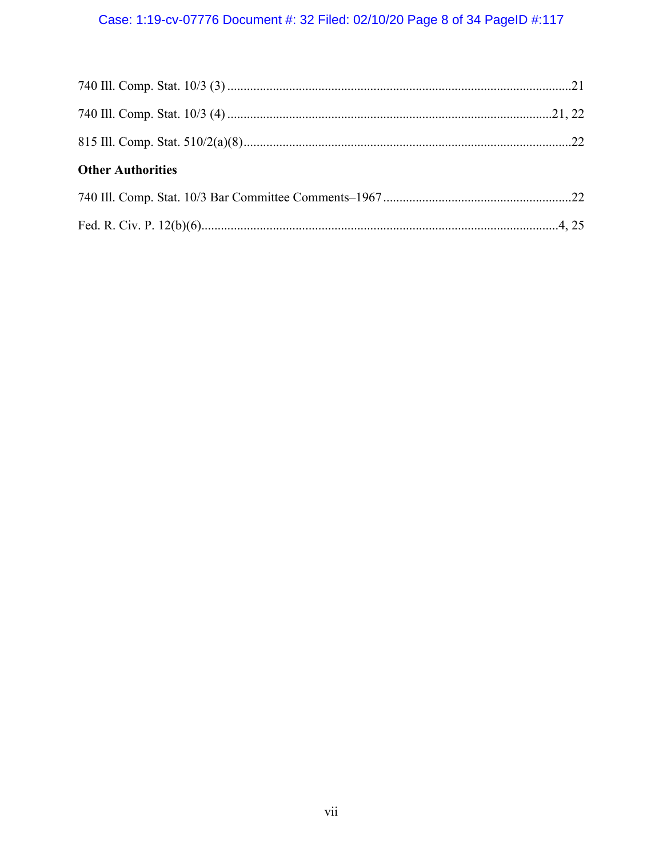# Case: 1:19-cv-07776 Document #: 32 Filed: 02/10/20 Page 8 of 34 PageID #:117

| <b>Other Authorities</b> |  |
|--------------------------|--|
|                          |  |
|                          |  |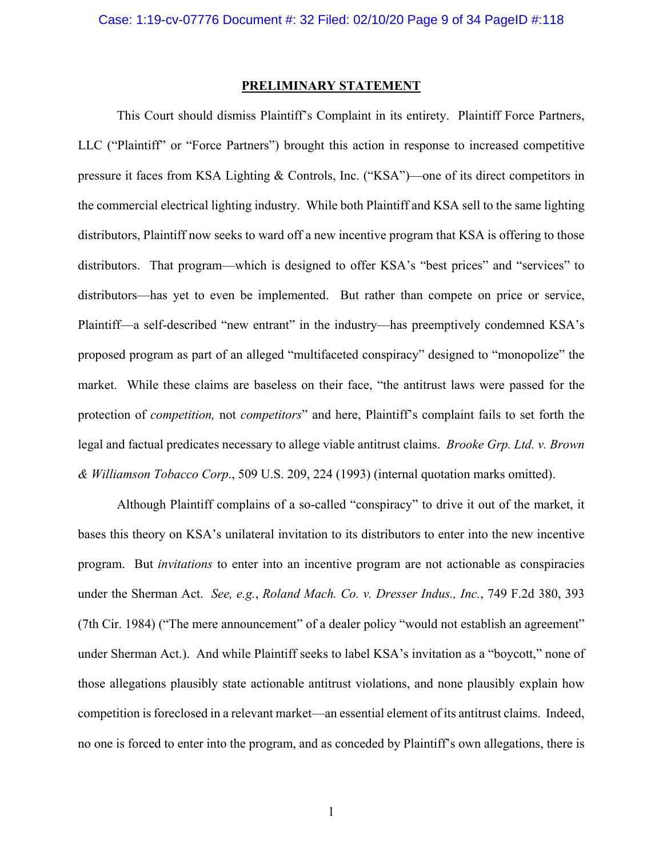#### **PRELIMINARY STATEMENT**

This Court should dismiss Plaintiff's Complaint in its entirety. Plaintiff Force Partners, LLC ("Plaintiff" or "Force Partners") brought this action in response to increased competitive pressure it faces from KSA Lighting & Controls, Inc. ("KSA")—one of its direct competitors in the commercial electrical lighting industry. While both Plaintiff and KSA sell to the same lighting distributors, Plaintiff now seeks to ward off a new incentive program that KSA is offering to those distributors. That program—which is designed to offer KSA's "best prices" and "services" to distributors—has yet to even be implemented. But rather than compete on price or service, Plaintiff—a self-described "new entrant" in the industry—has preemptively condemned KSA's proposed program as part of an alleged "multifaceted conspiracy" designed to "monopolize" the market. While these claims are baseless on their face, "the antitrust laws were passed for the protection of *competition,* not *competitors*" and here, Plaintiff's complaint fails to set forth the legal and factual predicates necessary to allege viable antitrust claims. *Brooke Grp. Ltd. v. Brown & Williamson Tobacco Corp*., 509 U.S. 209, 224 (1993) (internal quotation marks omitted).

Although Plaintiff complains of a so-called "conspiracy" to drive it out of the market, it bases this theory on KSA's unilateral invitation to its distributors to enter into the new incentive program. But *invitations* to enter into an incentive program are not actionable as conspiracies under the Sherman Act. *See, e.g.*, *Roland Mach. Co. v. Dresser Indus., Inc.*, 749 F.2d 380, 393 (7th Cir. 1984) ("The mere announcement" of a dealer policy "would not establish an agreement" under Sherman Act.). And while Plaintiff seeks to label KSA's invitation as a "boycott," none of those allegations plausibly state actionable antitrust violations, and none plausibly explain how competition is foreclosed in a relevant market—an essential element of its antitrust claims. Indeed, no one is forced to enter into the program, and as conceded by Plaintiff's own allegations, there is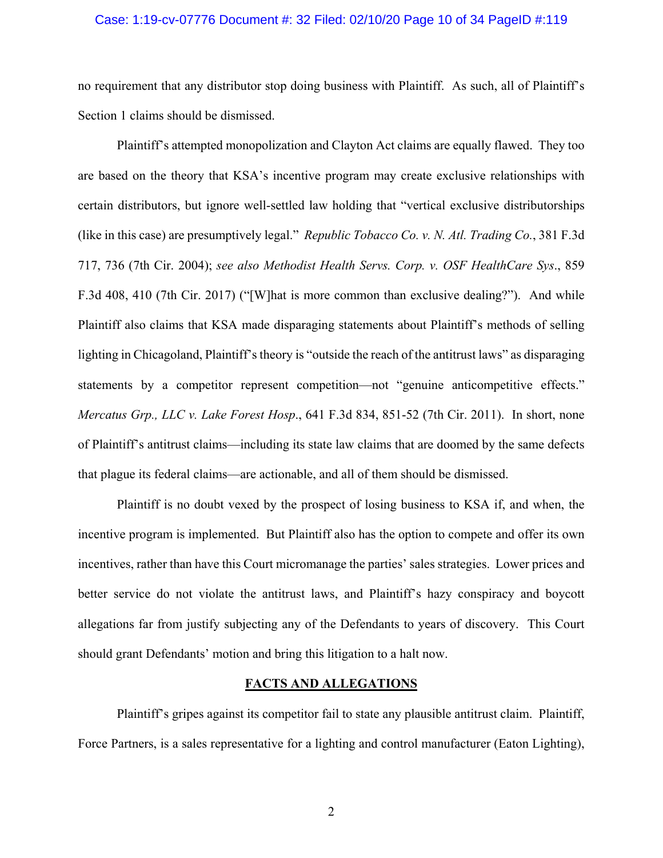#### Case: 1:19-cv-07776 Document #: 32 Filed: 02/10/20 Page 10 of 34 PageID #:119

no requirement that any distributor stop doing business with Plaintiff. As such, all of Plaintiff's Section 1 claims should be dismissed.

Plaintiff's attempted monopolization and Clayton Act claims are equally flawed. They too are based on the theory that KSA's incentive program may create exclusive relationships with certain distributors, but ignore well-settled law holding that "vertical exclusive distributorships (like in this case) are presumptively legal." *Republic Tobacco Co. v. N. Atl. Trading Co.*, 381 F.3d 717, 736 (7th Cir. 2004); *see also Methodist Health Servs. Corp. v. OSF HealthCare Sys*., 859 F.3d 408, 410 (7th Cir. 2017) ("[W]hat is more common than exclusive dealing?"). And while Plaintiff also claims that KSA made disparaging statements about Plaintiff's methods of selling lighting in Chicagoland, Plaintiff's theory is "outside the reach of the antitrust laws" as disparaging statements by a competitor represent competition—not "genuine anticompetitive effects." *Mercatus Grp., LLC v. Lake Forest Hosp*., 641 F.3d 834, 851-52 (7th Cir. 2011). In short, none of Plaintiff's antitrust claims—including its state law claims that are doomed by the same defects that plague its federal claims—are actionable, and all of them should be dismissed.

Plaintiff is no doubt vexed by the prospect of losing business to KSA if, and when, the incentive program is implemented. But Plaintiff also has the option to compete and offer its own incentives, rather than have this Court micromanage the parties' sales strategies. Lower prices and better service do not violate the antitrust laws, and Plaintiff's hazy conspiracy and boycott allegations far from justify subjecting any of the Defendants to years of discovery. This Court should grant Defendants' motion and bring this litigation to a halt now.

### **FACTS AND ALLEGATIONS**

Plaintiff's gripes against its competitor fail to state any plausible antitrust claim. Plaintiff, Force Partners, is a sales representative for a lighting and control manufacturer (Eaton Lighting),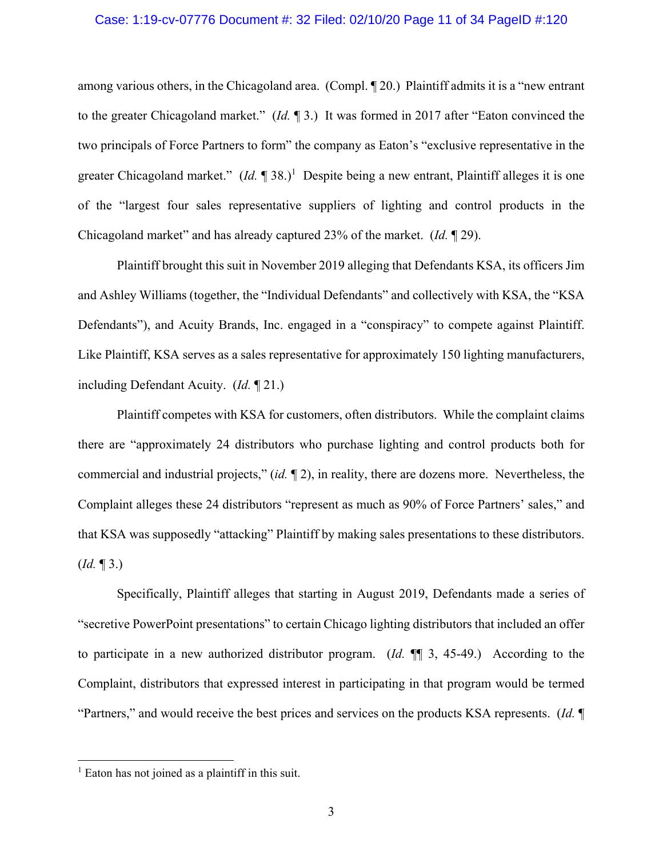#### Case: 1:19-cv-07776 Document #: 32 Filed: 02/10/20 Page 11 of 34 PageID #:120

among various others, in the Chicagoland area. (Compl. ¶ 20.) Plaintiff admits it is a "new entrant to the greater Chicagoland market." (*Id.* ¶ 3.) It was formed in 2017 after "Eaton convinced the two principals of Force Partners to form" the company as Eaton's "exclusive representative in the greater Chicagoland market."  $(Id. \P 38.)^1$  Despite being a new entrant, Plaintiff alleges it is one of the "largest four sales representative suppliers of lighting and control products in the Chicagoland market" and has already captured 23% of the market. (*Id.* ¶ 29).

Plaintiff brought this suit in November 2019 alleging that Defendants KSA, its officers Jim and Ashley Williams (together, the "Individual Defendants" and collectively with KSA, the "KSA Defendants"), and Acuity Brands, Inc. engaged in a "conspiracy" to compete against Plaintiff. Like Plaintiff, KSA serves as a sales representative for approximately 150 lighting manufacturers, including Defendant Acuity. (*Id.* ¶ 21.)

Plaintiff competes with KSA for customers, often distributors. While the complaint claims there are "approximately 24 distributors who purchase lighting and control products both for commercial and industrial projects," (*id.* ¶ 2), in reality, there are dozens more. Nevertheless, the Complaint alleges these 24 distributors "represent as much as 90% of Force Partners' sales," and that KSA was supposedly "attacking" Plaintiff by making sales presentations to these distributors. (*Id.* ¶ 3.)

Specifically, Plaintiff alleges that starting in August 2019, Defendants made a series of "secretive PowerPoint presentations" to certain Chicago lighting distributors that included an offer to participate in a new authorized distributor program. (*Id.* ¶¶ 3, 45-49.) According to the Complaint, distributors that expressed interest in participating in that program would be termed "Partners," and would receive the best prices and services on the products KSA represents. (*Id.* ¶

1

<sup>&</sup>lt;sup>1</sup> Eaton has not joined as a plaintiff in this suit.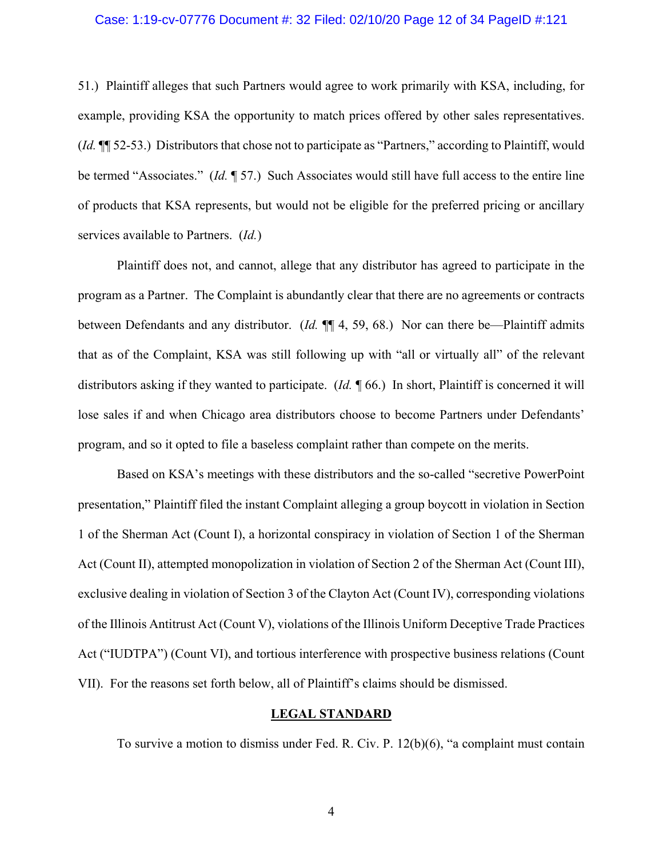#### Case: 1:19-cv-07776 Document #: 32 Filed: 02/10/20 Page 12 of 34 PageID #:121

51.) Plaintiff alleges that such Partners would agree to work primarily with KSA, including, for example, providing KSA the opportunity to match prices offered by other sales representatives. (*Id.* ¶¶ 52-53.) Distributors that chose not to participate as "Partners," according to Plaintiff, would be termed "Associates." (*Id.* ¶ 57.) Such Associates would still have full access to the entire line of products that KSA represents, but would not be eligible for the preferred pricing or ancillary services available to Partners. (*Id.*)

Plaintiff does not, and cannot, allege that any distributor has agreed to participate in the program as a Partner. The Complaint is abundantly clear that there are no agreements or contracts between Defendants and any distributor. (*Id.* ¶¶ 4, 59, 68.) Nor can there be—Plaintiff admits that as of the Complaint, KSA was still following up with "all or virtually all" of the relevant distributors asking if they wanted to participate. (*Id.* ¶ 66.) In short, Plaintiff is concerned it will lose sales if and when Chicago area distributors choose to become Partners under Defendants' program, and so it opted to file a baseless complaint rather than compete on the merits.

Based on KSA's meetings with these distributors and the so-called "secretive PowerPoint presentation," Plaintiff filed the instant Complaint alleging a group boycott in violation in Section 1 of the Sherman Act (Count I), a horizontal conspiracy in violation of Section 1 of the Sherman Act (Count II), attempted monopolization in violation of Section 2 of the Sherman Act (Count III), exclusive dealing in violation of Section 3 of the Clayton Act (Count IV), corresponding violations of the Illinois Antitrust Act (Count V), violations of the Illinois Uniform Deceptive Trade Practices Act ("IUDTPA") (Count VI), and tortious interference with prospective business relations (Count VII). For the reasons set forth below, all of Plaintiff's claims should be dismissed.

### **LEGAL STANDARD**

To survive a motion to dismiss under Fed. R. Civ. P. 12(b)(6), "a complaint must contain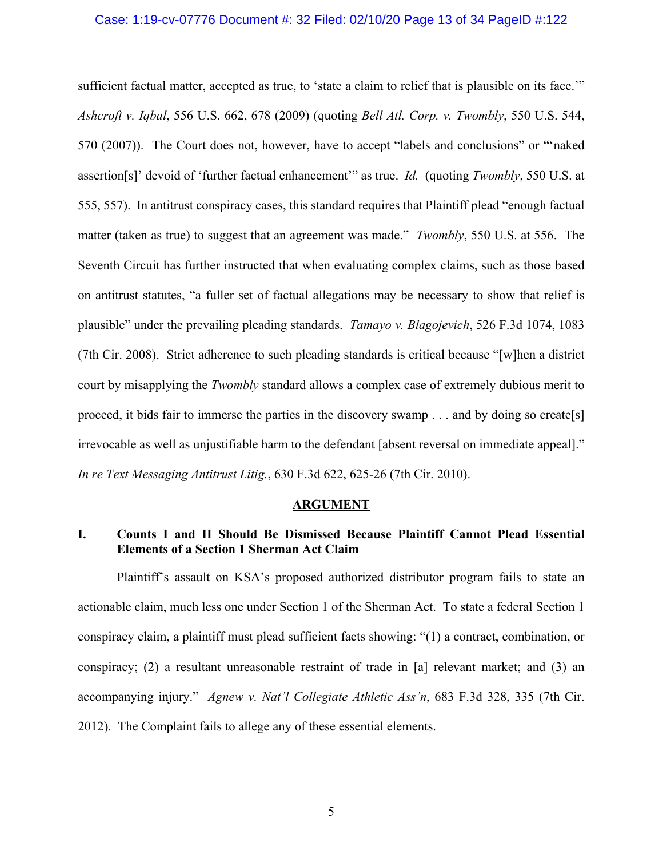#### Case: 1:19-cv-07776 Document #: 32 Filed: 02/10/20 Page 13 of 34 PageID #:122

sufficient factual matter, accepted as true, to 'state a claim to relief that is plausible on its face.'" *Ashcroft v. Iqbal*, 556 U.S. 662, 678 (2009) (quoting *Bell Atl. Corp. v. Twombly*, 550 U.S. 544, 570 (2007)). The Court does not, however, have to accept "labels and conclusions" or "'naked assertion[s]' devoid of 'further factual enhancement'" as true. *Id.* (quoting *Twombly*, 550 U.S. at 555, 557). In antitrust conspiracy cases, this standard requires that Plaintiff plead "enough factual matter (taken as true) to suggest that an agreement was made." *Twombly*, 550 U.S. at 556. The Seventh Circuit has further instructed that when evaluating complex claims, such as those based on antitrust statutes, "a fuller set of factual allegations may be necessary to show that relief is plausible" under the prevailing pleading standards. *Tamayo v. Blagojevich*, 526 F.3d 1074, 1083 (7th Cir. 2008). Strict adherence to such pleading standards is critical because "[w]hen a district court by misapplying the *Twombly* standard allows a complex case of extremely dubious merit to proceed, it bids fair to immerse the parties in the discovery swamp . . . and by doing so create[s] irrevocable as well as unjustifiable harm to the defendant [absent reversal on immediate appeal]." *In re Text Messaging Antitrust Litig.*, 630 F.3d 622, 625-26 (7th Cir. 2010).

#### **ARGUMENT**

# **I. Counts I and II Should Be Dismissed Because Plaintiff Cannot Plead Essential Elements of a Section 1 Sherman Act Claim**

Plaintiff's assault on KSA's proposed authorized distributor program fails to state an actionable claim, much less one under Section 1 of the Sherman Act. To state a federal Section 1 conspiracy claim, a plaintiff must plead sufficient facts showing: "(1) a contract, combination, or conspiracy; (2) a resultant unreasonable restraint of trade in [a] relevant market; and (3) an accompanying injury." *Agnew v. Nat'l Collegiate Athletic Ass'n*, 683 F.3d 328, 335 (7th Cir. 2012)*.* The Complaint fails to allege any of these essential elements.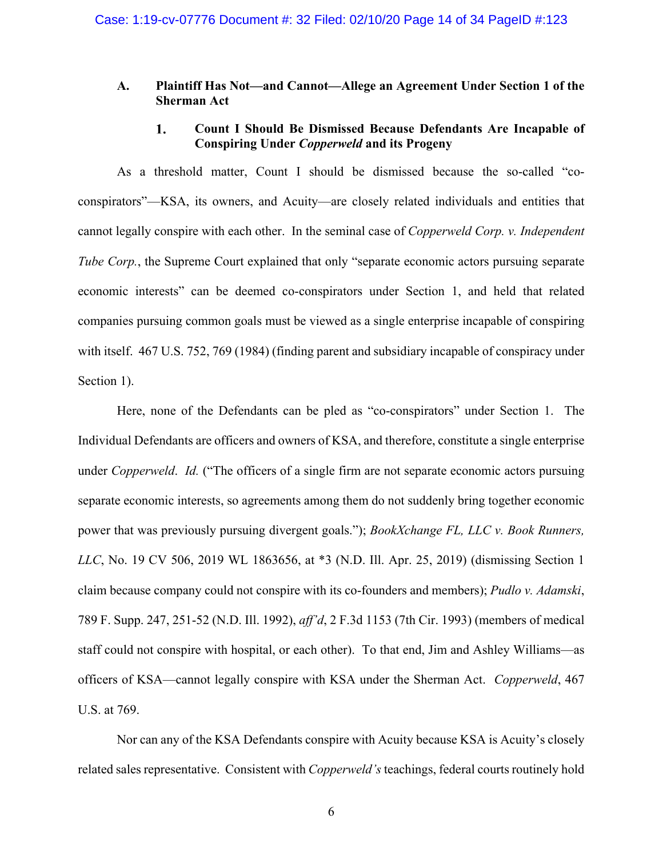## **A. Plaintiff Has Not—and Cannot—Allege an Agreement Under Section 1 of the Sherman Act**

#### 1. **Count I Should Be Dismissed Because Defendants Are Incapable of Conspiring Under** *Copperweld* **and its Progeny**

As a threshold matter, Count I should be dismissed because the so-called "coconspirators"—KSA, its owners, and Acuity—are closely related individuals and entities that cannot legally conspire with each other. In the seminal case of *Copperweld Corp. v. Independent Tube Corp.*, the Supreme Court explained that only "separate economic actors pursuing separate economic interests" can be deemed co-conspirators under Section 1, and held that related companies pursuing common goals must be viewed as a single enterprise incapable of conspiring with itself. 467 U.S. 752, 769 (1984) (finding parent and subsidiary incapable of conspiracy under Section 1).

Here, none of the Defendants can be pled as "co-conspirators" under Section 1. The Individual Defendants are officers and owners of KSA, and therefore, constitute a single enterprise under *Copperweld*. *Id.* ("The officers of a single firm are not separate economic actors pursuing separate economic interests, so agreements among them do not suddenly bring together economic power that was previously pursuing divergent goals."); *BookXchange FL, LLC v. Book Runners, LLC*, No. 19 CV 506, 2019 WL 1863656, at \*3 (N.D. Ill. Apr. 25, 2019) (dismissing Section 1 claim because company could not conspire with its co-founders and members); *Pudlo v. Adamski*, 789 F. Supp. 247, 251-52 (N.D. Ill. 1992), *aff'd*, 2 F.3d 1153 (7th Cir. 1993) (members of medical staff could not conspire with hospital, or each other). To that end, Jim and Ashley Williams—as officers of KSA—cannot legally conspire with KSA under the Sherman Act. *Copperweld*, 467 U.S. at 769.

Nor can any of the KSA Defendants conspire with Acuity because KSA is Acuity's closely related sales representative. Consistent with *Copperweld's* teachings, federal courts routinely hold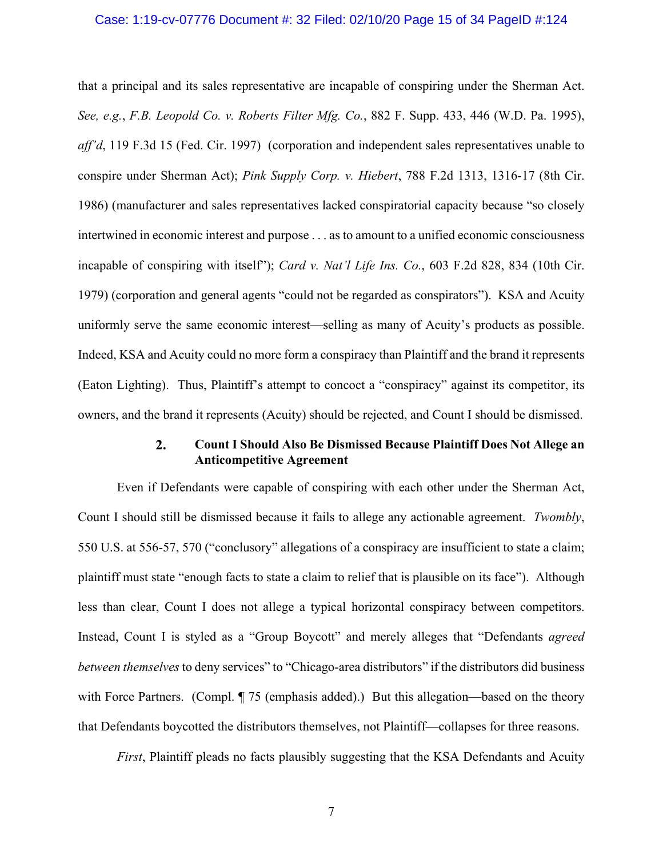#### Case: 1:19-cv-07776 Document #: 32 Filed: 02/10/20 Page 15 of 34 PageID #:124

that a principal and its sales representative are incapable of conspiring under the Sherman Act. *See, e.g.*, *F.B. Leopold Co. v. Roberts Filter Mfg. Co.*, 882 F. Supp. 433, 446 (W.D. Pa. 1995), *aff'd*, 119 F.3d 15 (Fed. Cir. 1997) (corporation and independent sales representatives unable to conspire under Sherman Act); *Pink Supply Corp. v. Hiebert*, 788 F.2d 1313, 1316-17 (8th Cir. 1986) (manufacturer and sales representatives lacked conspiratorial capacity because "so closely intertwined in economic interest and purpose . . . as to amount to a unified economic consciousness incapable of conspiring with itself"); *Card v. Nat'l Life Ins. Co.*, 603 F.2d 828, 834 (10th Cir. 1979) (corporation and general agents "could not be regarded as conspirators"). KSA and Acuity uniformly serve the same economic interest—selling as many of Acuity's products as possible. Indeed, KSA and Acuity could no more form a conspiracy than Plaintiff and the brand it represents (Eaton Lighting). Thus, Plaintiff's attempt to concoct a "conspiracy" against its competitor, its owners, and the brand it represents (Acuity) should be rejected, and Count I should be dismissed.

#### $2.$ **Count I Should Also Be Dismissed Because Plaintiff Does Not Allege an Anticompetitive Agreement**

Even if Defendants were capable of conspiring with each other under the Sherman Act, Count I should still be dismissed because it fails to allege any actionable agreement. *Twombly*, 550 U.S. at 556-57, 570 ("conclusory" allegations of a conspiracy are insufficient to state a claim; plaintiff must state "enough facts to state a claim to relief that is plausible on its face"). Although less than clear, Count I does not allege a typical horizontal conspiracy between competitors. Instead, Count I is styled as a "Group Boycott" and merely alleges that "Defendants *agreed between themselves* to deny services" to "Chicago-area distributors" if the distributors did business with Force Partners. (Compl. ¶ 75 (emphasis added).) But this allegation—based on the theory that Defendants boycotted the distributors themselves, not Plaintiff—collapses for three reasons.

*First*, Plaintiff pleads no facts plausibly suggesting that the KSA Defendants and Acuity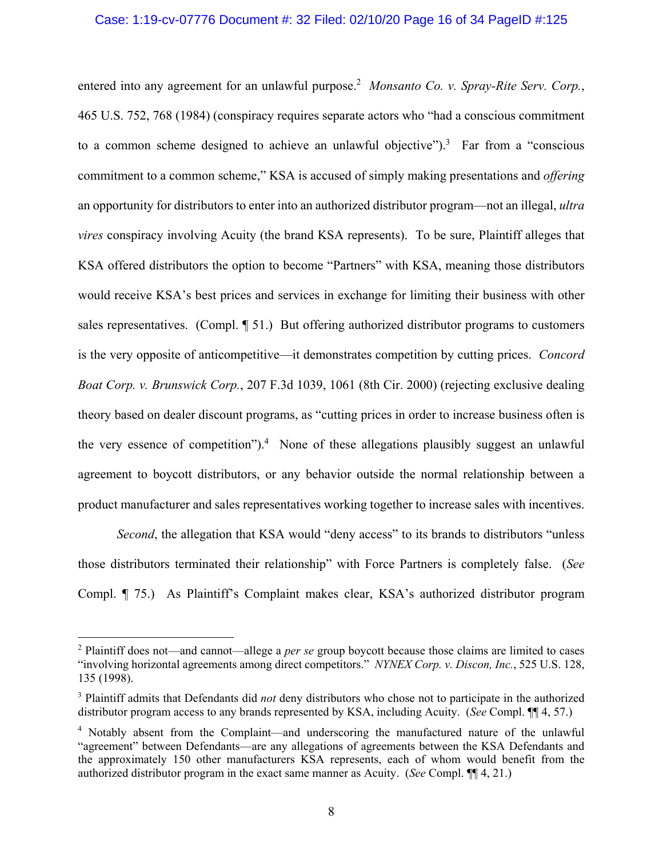### Case: 1:19-cv-07776 Document #: 32 Filed: 02/10/20 Page 16 of 34 PageID #:125

entered into any agreement for an unlawful purpose.<sup>2</sup> Monsanto Co. v. Spray-Rite Serv. Corp., 465 U.S. 752, 768 (1984) (conspiracy requires separate actors who "had a conscious commitment to a common scheme designed to achieve an unlawful objective").<sup>3</sup> Far from a "conscious commitment to a common scheme," KSA is accused of simply making presentations and *offering*  an opportunity for distributors to enter into an authorized distributor program—not an illegal, *ultra vires* conspiracy involving Acuity (the brand KSA represents). To be sure, Plaintiff alleges that KSA offered distributors the option to become "Partners" with KSA, meaning those distributors would receive KSA's best prices and services in exchange for limiting their business with other sales representatives. (Compl. ¶ 51.) But offering authorized distributor programs to customers is the very opposite of anticompetitive—it demonstrates competition by cutting prices. *Concord Boat Corp. v. Brunswick Corp.*, 207 F.3d 1039, 1061 (8th Cir. 2000) (rejecting exclusive dealing theory based on dealer discount programs, as "cutting prices in order to increase business often is the very essence of competition").<sup>4</sup> None of these allegations plausibly suggest an unlawful agreement to boycott distributors, or any behavior outside the normal relationship between a product manufacturer and sales representatives working together to increase sales with incentives.

*Second*, the allegation that KSA would "deny access" to its brands to distributors "unless those distributors terminated their relationship" with Force Partners is completely false. (*See*  Compl. ¶ 75.) As Plaintiff's Complaint makes clear, KSA's authorized distributor program

 $\overline{a}$ 

<sup>2</sup> Plaintiff does not—and cannot—allege a *per se* group boycott because those claims are limited to cases "involving horizontal agreements among direct competitors." *NYNEX Corp. v. Discon, Inc.*, 525 U.S. 128, 135 (1998).

<sup>&</sup>lt;sup>3</sup> Plaintiff admits that Defendants did *not* deny distributors who chose not to participate in the authorized distributor program access to any brands represented by KSA, including Acuity. (*See* Compl. ¶¶ 4, 57.)

<sup>&</sup>lt;sup>4</sup> Notably absent from the Complaint—and underscoring the manufactured nature of the unlawful "agreement" between Defendants—are any allegations of agreements between the KSA Defendants and the approximately 150 other manufacturers KSA represents, each of whom would benefit from the authorized distributor program in the exact same manner as Acuity. (*See* Compl. ¶¶ 4, 21.)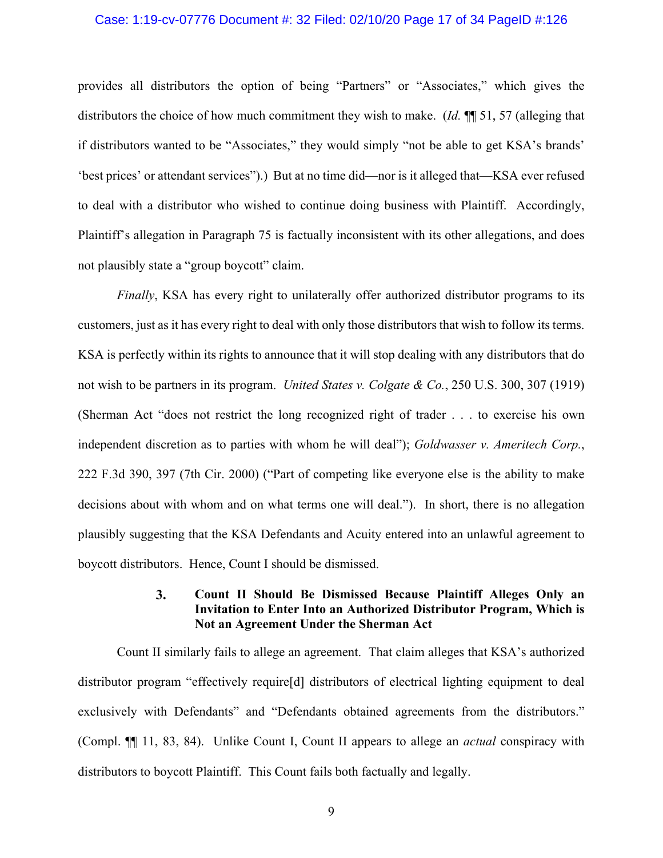#### Case: 1:19-cv-07776 Document #: 32 Filed: 02/10/20 Page 17 of 34 PageID #:126

provides all distributors the option of being "Partners" or "Associates," which gives the distributors the choice of how much commitment they wish to make. (*Id.* ¶¶ 51, 57 (alleging that if distributors wanted to be "Associates," they would simply "not be able to get KSA's brands' 'best prices' or attendant services").) But at no time did—nor is it alleged that—KSA ever refused to deal with a distributor who wished to continue doing business with Plaintiff. Accordingly, Plaintiff's allegation in Paragraph 75 is factually inconsistent with its other allegations, and does not plausibly state a "group boycott" claim.

*Finally*, KSA has every right to unilaterally offer authorized distributor programs to its customers, just as it has every right to deal with only those distributors that wish to follow its terms. KSA is perfectly within its rights to announce that it will stop dealing with any distributors that do not wish to be partners in its program. *United States v. Colgate & Co.*, 250 U.S. 300, 307 (1919) (Sherman Act "does not restrict the long recognized right of trader . . . to exercise his own independent discretion as to parties with whom he will deal"); *Goldwasser v. Ameritech Corp.*, 222 F.3d 390, 397 (7th Cir. 2000) ("Part of competing like everyone else is the ability to make decisions about with whom and on what terms one will deal."). In short, there is no allegation plausibly suggesting that the KSA Defendants and Acuity entered into an unlawful agreement to boycott distributors. Hence, Count I should be dismissed.

#### $3.$ **Count II Should Be Dismissed Because Plaintiff Alleges Only an Invitation to Enter Into an Authorized Distributor Program, Which is Not an Agreement Under the Sherman Act**

Count II similarly fails to allege an agreement. That claim alleges that KSA's authorized distributor program "effectively require[d] distributors of electrical lighting equipment to deal exclusively with Defendants" and "Defendants obtained agreements from the distributors." (Compl. ¶¶ 11, 83, 84). Unlike Count I, Count II appears to allege an *actual* conspiracy with distributors to boycott Plaintiff. This Count fails both factually and legally.

9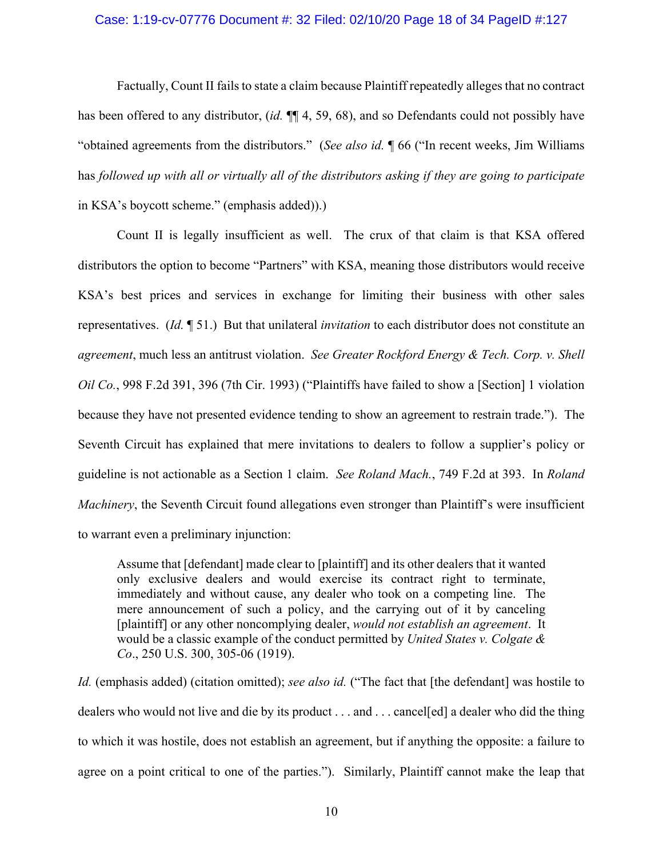### Case: 1:19-cv-07776 Document #: 32 Filed: 02/10/20 Page 18 of 34 PageID #:127

Factually, Count II fails to state a claim because Plaintiff repeatedly alleges that no contract has been offered to any distributor, (*id.* ¶¶ 4, 59, 68), and so Defendants could not possibly have "obtained agreements from the distributors." (*See also id.* ¶ 66 ("In recent weeks, Jim Williams has *followed up with all or virtually all of the distributors asking if they are going to participate* in KSA's boycott scheme." (emphasis added)).)

Count II is legally insufficient as well. The crux of that claim is that KSA offered distributors the option to become "Partners" with KSA, meaning those distributors would receive KSA's best prices and services in exchange for limiting their business with other sales representatives. (*Id.* ¶ 51.) But that unilateral *invitation* to each distributor does not constitute an *agreement*, much less an antitrust violation. *See Greater Rockford Energy & Tech. Corp. v. Shell Oil Co.*, 998 F.2d 391, 396 (7th Cir. 1993) ("Plaintiffs have failed to show a [Section] 1 violation because they have not presented evidence tending to show an agreement to restrain trade."). The Seventh Circuit has explained that mere invitations to dealers to follow a supplier's policy or guideline is not actionable as a Section 1 claim. *See Roland Mach.*, 749 F.2d at 393. In *Roland Machinery*, the Seventh Circuit found allegations even stronger than Plaintiff's were insufficient to warrant even a preliminary injunction:

Assume that [defendant] made clear to [plaintiff] and its other dealers that it wanted only exclusive dealers and would exercise its contract right to terminate, immediately and without cause, any dealer who took on a competing line. The mere announcement of such a policy, and the carrying out of it by canceling [plaintiff] or any other noncomplying dealer, *would not establish an agreement*. It would be a classic example of the conduct permitted by *United States v. Colgate & Co*., 250 U.S. 300, 305-06 (1919).

*Id.* (emphasis added) (citation omitted); *see also id.* ("The fact that [the defendant] was hostile to dealers who would not live and die by its product . . . and . . . cancel[ed] a dealer who did the thing to which it was hostile, does not establish an agreement, but if anything the opposite: a failure to agree on a point critical to one of the parties."). Similarly, Plaintiff cannot make the leap that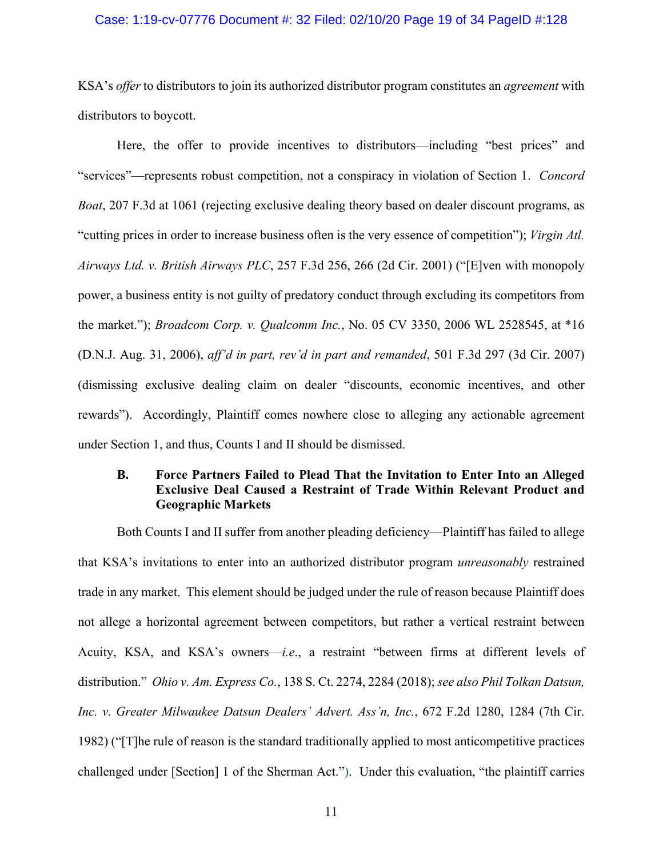#### Case: 1:19-cv-07776 Document #: 32 Filed: 02/10/20 Page 19 of 34 PageID #:128

KSA's *offer* to distributors to join its authorized distributor program constitutes an *agreement* with distributors to boycott.

Here, the offer to provide incentives to distributors—including "best prices" and "services"—represents robust competition, not a conspiracy in violation of Section 1. *Concord Boat*, 207 F.3d at 1061 (rejecting exclusive dealing theory based on dealer discount programs, as "cutting prices in order to increase business often is the very essence of competition"); *Virgin Atl. Airways Ltd. v. British Airways PLC*, 257 F.3d 256, 266 (2d Cir. 2001) ("[E]ven with monopoly power, a business entity is not guilty of predatory conduct through excluding its competitors from the market."); *Broadcom Corp. v. Qualcomm Inc.*, No. 05 CV 3350, 2006 WL 2528545, at \*16 (D.N.J. Aug. 31, 2006), *aff'd in part, rev'd in part and remanded*, 501 F.3d 297 (3d Cir. 2007) (dismissing exclusive dealing claim on dealer "discounts, economic incentives, and other rewards"). Accordingly, Plaintiff comes nowhere close to alleging any actionable agreement under Section 1, and thus, Counts I and II should be dismissed.

# **B. Force Partners Failed to Plead That the Invitation to Enter Into an Alleged Exclusive Deal Caused a Restraint of Trade Within Relevant Product and Geographic Markets**

Both Counts I and II suffer from another pleading deficiency—Plaintiff has failed to allege that KSA's invitations to enter into an authorized distributor program *unreasonably* restrained trade in any market. This element should be judged under the rule of reason because Plaintiff does not allege a horizontal agreement between competitors, but rather a vertical restraint between Acuity, KSA, and KSA's owners—*i.e*., a restraint "between firms at different levels of distribution." *Ohio v. Am. Express Co.*, 138 S. Ct. 2274, 2284 (2018); *see also Phil Tolkan Datsun, Inc. v. Greater Milwaukee Datsun Dealers' Advert. Ass'n, Inc.*, 672 F.2d 1280, 1284 (7th Cir. 1982) ("[T]he rule of reason is the standard traditionally applied to most anticompetitive practices challenged under [Section] 1 of the Sherman Act."). Under this evaluation, "the plaintiff carries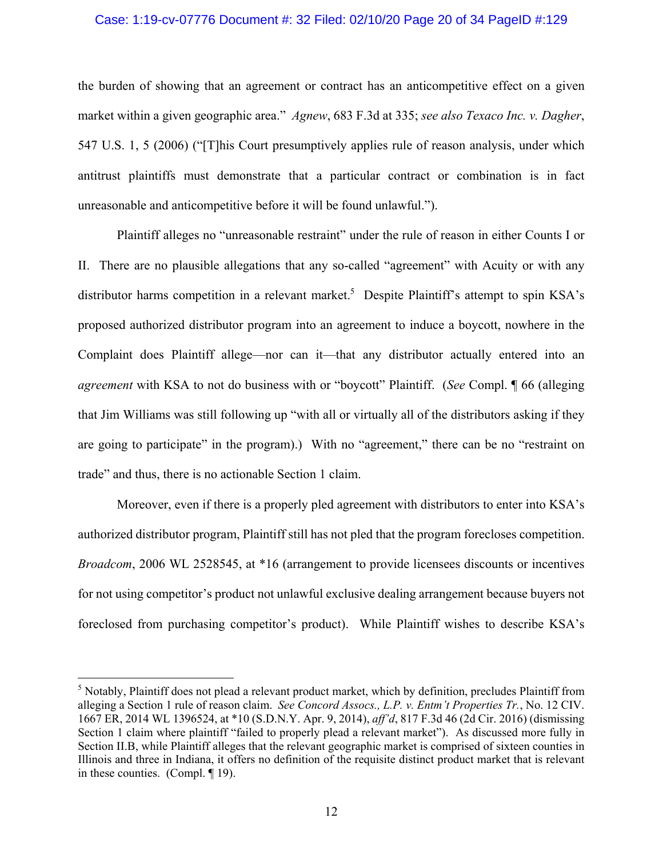#### Case: 1:19-cv-07776 Document #: 32 Filed: 02/10/20 Page 20 of 34 PageID #:129

the burden of showing that an agreement or contract has an anticompetitive effect on a given market within a given geographic area." *Agnew*, 683 F.3d at 335; *see also Texaco Inc. v. Dagher*, 547 U.S. 1, 5 (2006) ("[T]his Court presumptively applies rule of reason analysis, under which antitrust plaintiffs must demonstrate that a particular contract or combination is in fact unreasonable and anticompetitive before it will be found unlawful.").

Plaintiff alleges no "unreasonable restraint" under the rule of reason in either Counts I or II. There are no plausible allegations that any so-called "agreement" with Acuity or with any distributor harms competition in a relevant market.<sup>5</sup> Despite Plaintiff's attempt to spin KSA's proposed authorized distributor program into an agreement to induce a boycott, nowhere in the Complaint does Plaintiff allege—nor can it—that any distributor actually entered into an *agreement* with KSA to not do business with or "boycott" Plaintiff. (*See* Compl. ¶ 66 (alleging that Jim Williams was still following up "with all or virtually all of the distributors asking if they are going to participate" in the program).) With no "agreement," there can be no "restraint on trade" and thus, there is no actionable Section 1 claim.

Moreover, even if there is a properly pled agreement with distributors to enter into KSA's authorized distributor program, Plaintiff still has not pled that the program forecloses competition. *Broadcom*, 2006 WL 2528545, at \*16 (arrangement to provide licensees discounts or incentives for not using competitor's product not unlawful exclusive dealing arrangement because buyers not foreclosed from purchasing competitor's product). While Plaintiff wishes to describe KSA's

 $\overline{a}$ 

<sup>&</sup>lt;sup>5</sup> Notably, Plaintiff does not plead a relevant product market, which by definition, precludes Plaintiff from alleging a Section 1 rule of reason claim. *See Concord Assocs., L.P. v. Entm't Properties Tr.*, No. 12 CIV. 1667 ER, 2014 WL 1396524, at \*10 (S.D.N.Y. Apr. 9, 2014), *aff'd*, 817 F.3d 46 (2d Cir. 2016) (dismissing Section 1 claim where plaintiff "failed to properly plead a relevant market"). As discussed more fully in Section II.B, while Plaintiff alleges that the relevant geographic market is comprised of sixteen counties in Illinois and three in Indiana, it offers no definition of the requisite distinct product market that is relevant in these counties. (Compl. ¶ 19).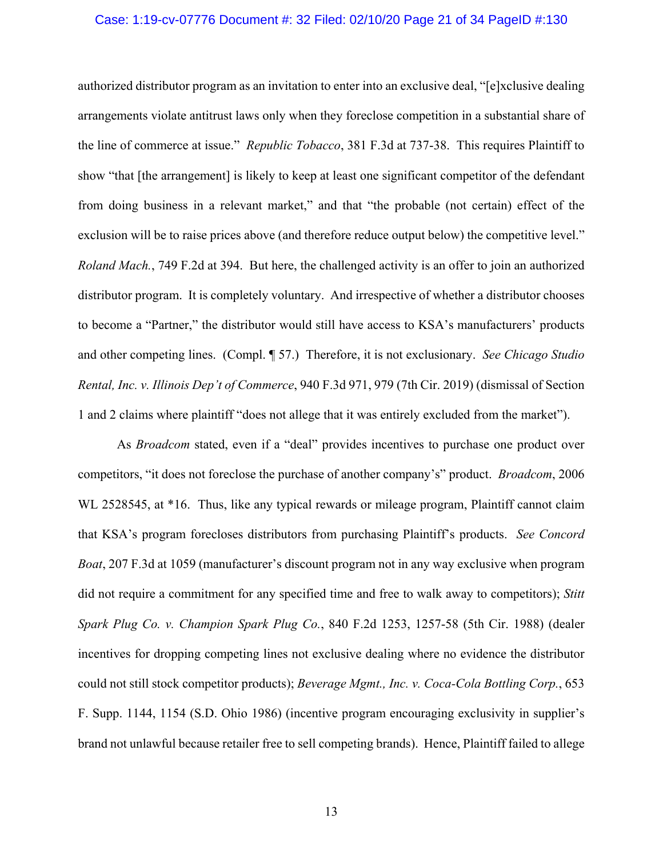#### Case: 1:19-cv-07776 Document #: 32 Filed: 02/10/20 Page 21 of 34 PageID #:130

authorized distributor program as an invitation to enter into an exclusive deal, "[e]xclusive dealing arrangements violate antitrust laws only when they foreclose competition in a substantial share of the line of commerce at issue." *Republic Tobacco*, 381 F.3d at 737-38. This requires Plaintiff to show "that [the arrangement] is likely to keep at least one significant competitor of the defendant from doing business in a relevant market," and that "the probable (not certain) effect of the exclusion will be to raise prices above (and therefore reduce output below) the competitive level." *Roland Mach.*, 749 F.2d at 394. But here, the challenged activity is an offer to join an authorized distributor program. It is completely voluntary. And irrespective of whether a distributor chooses to become a "Partner," the distributor would still have access to KSA's manufacturers' products and other competing lines. (Compl. ¶ 57.) Therefore, it is not exclusionary. *See Chicago Studio Rental, Inc. v. Illinois Dep't of Commerce*, 940 F.3d 971, 979 (7th Cir. 2019) (dismissal of Section 1 and 2 claims where plaintiff "does not allege that it was entirely excluded from the market").

As *Broadcom* stated, even if a "deal" provides incentives to purchase one product over competitors, "it does not foreclose the purchase of another company's" product. *Broadcom*, 2006 WL 2528545, at \*16. Thus, like any typical rewards or mileage program, Plaintiff cannot claim that KSA's program forecloses distributors from purchasing Plaintiff's products. *See Concord Boat*, 207 F.3d at 1059 (manufacturer's discount program not in any way exclusive when program did not require a commitment for any specified time and free to walk away to competitors); *Stitt Spark Plug Co. v. Champion Spark Plug Co.*, 840 F.2d 1253, 1257-58 (5th Cir. 1988) (dealer incentives for dropping competing lines not exclusive dealing where no evidence the distributor could not still stock competitor products); *Beverage Mgmt., Inc. v. Coca-Cola Bottling Corp.*, 653 F. Supp. 1144, 1154 (S.D. Ohio 1986) (incentive program encouraging exclusivity in supplier's brand not unlawful because retailer free to sell competing brands). Hence, Plaintiff failed to allege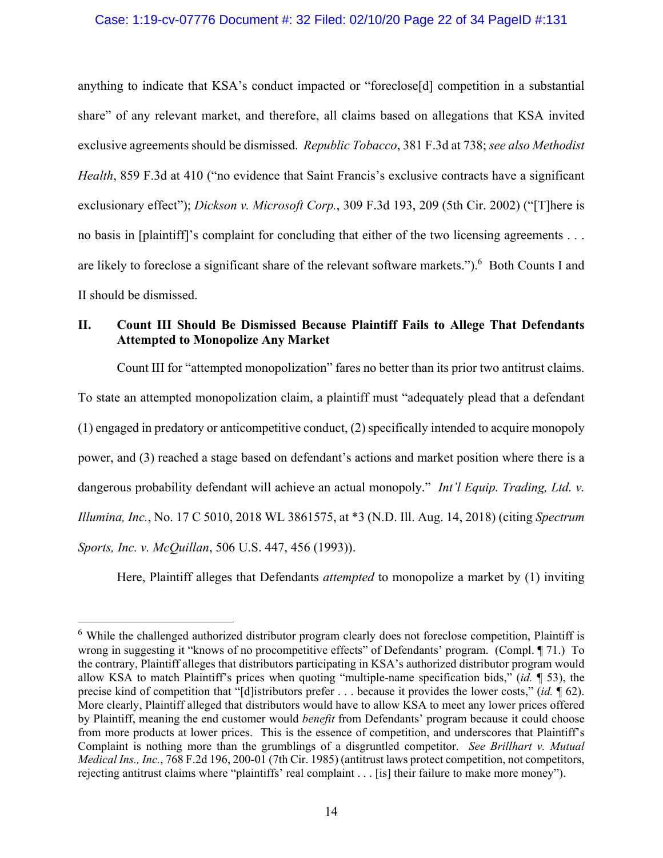### Case: 1:19-cv-07776 Document #: 32 Filed: 02/10/20 Page 22 of 34 PageID #:131

anything to indicate that KSA's conduct impacted or "foreclose[d] competition in a substantial share" of any relevant market, and therefore, all claims based on allegations that KSA invited exclusive agreements should be dismissed. *Republic Tobacco*, 381 F.3d at 738; *see also Methodist Health*, 859 F.3d at 410 ("no evidence that Saint Francis's exclusive contracts have a significant exclusionary effect"); *Dickson v. Microsoft Corp.*, 309 F.3d 193, 209 (5th Cir. 2002) ("[T]here is no basis in [plaintiff]'s complaint for concluding that either of the two licensing agreements . . . are likely to foreclose a significant share of the relevant software markets.").<sup>6</sup> Both Counts I and II should be dismissed.

# **II. Count III Should Be Dismissed Because Plaintiff Fails to Allege That Defendants Attempted to Monopolize Any Market**

Count III for "attempted monopolization" fares no better than its prior two antitrust claims. To state an attempted monopolization claim, a plaintiff must "adequately plead that a defendant (1) engaged in predatory or anticompetitive conduct, (2) specifically intended to acquire monopoly power, and (3) reached a stage based on defendant's actions and market position where there is a dangerous probability defendant will achieve an actual monopoly." *Int'l Equip. Trading, Ltd. v. Illumina, Inc.*, No. 17 C 5010, 2018 WL 3861575, at \*3 (N.D. Ill. Aug. 14, 2018) (citing *Spectrum Sports, Inc. v. McQuillan*, 506 U.S. 447, 456 (1993)).

Here, Plaintiff alleges that Defendants *attempted* to monopolize a market by (1) inviting

1

<sup>&</sup>lt;sup>6</sup> While the challenged authorized distributor program clearly does not foreclose competition, Plaintiff is wrong in suggesting it "knows of no procompetitive effects" of Defendants' program. (Compl. ¶ 71.) To the contrary, Plaintiff alleges that distributors participating in KSA's authorized distributor program would allow KSA to match Plaintiff's prices when quoting "multiple-name specification bids," (*id.* ¶ 53), the precise kind of competition that "[d]istributors prefer . . . because it provides the lower costs," (*id.* ¶ 62). More clearly, Plaintiff alleged that distributors would have to allow KSA to meet any lower prices offered by Plaintiff, meaning the end customer would *benefit* from Defendants' program because it could choose from more products at lower prices. This is the essence of competition, and underscores that Plaintiff's Complaint is nothing more than the grumblings of a disgruntled competitor. *See Brillhart v. Mutual Medical Ins., Inc.*, 768 F.2d 196, 200-01 (7th Cir. 1985) (antitrust laws protect competition, not competitors, rejecting antitrust claims where "plaintiffs' real complaint . . . [is] their failure to make more money").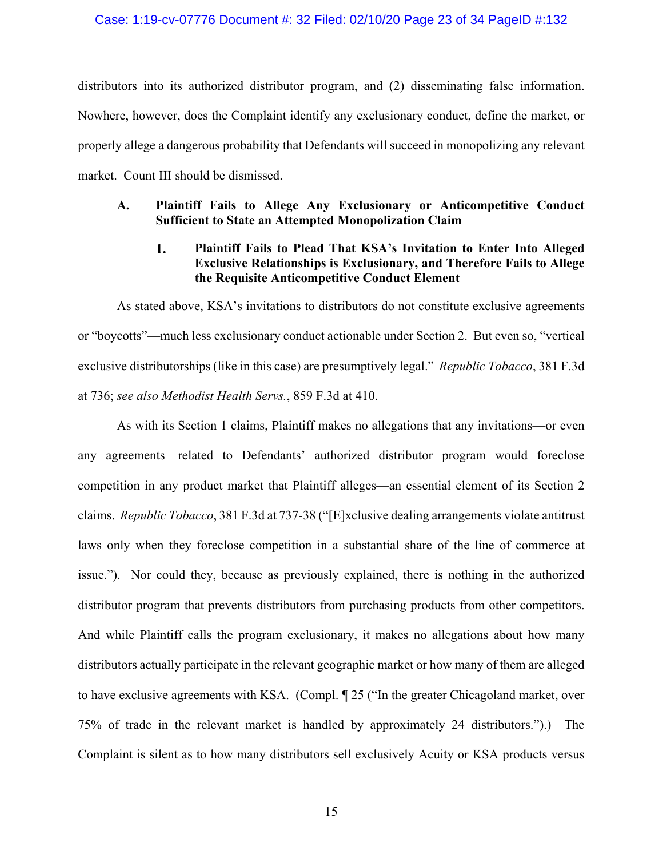### Case: 1:19-cv-07776 Document #: 32 Filed: 02/10/20 Page 23 of 34 PageID #:132

distributors into its authorized distributor program, and (2) disseminating false information. Nowhere, however, does the Complaint identify any exclusionary conduct, define the market, or properly allege a dangerous probability that Defendants will succeed in monopolizing any relevant market. Count III should be dismissed.

## **A. Plaintiff Fails to Allege Any Exclusionary or Anticompetitive Conduct Sufficient to State an Attempted Monopolization Claim**

#### $1.$ **Plaintiff Fails to Plead That KSA's Invitation to Enter Into Alleged Exclusive Relationships is Exclusionary, and Therefore Fails to Allege the Requisite Anticompetitive Conduct Element**

As stated above, KSA's invitations to distributors do not constitute exclusive agreements or "boycotts"—much less exclusionary conduct actionable under Section 2. But even so, "vertical exclusive distributorships (like in this case) are presumptively legal." *Republic Tobacco*, 381 F.3d at 736; *see also Methodist Health Servs.*, 859 F.3d at 410.

As with its Section 1 claims, Plaintiff makes no allegations that any invitations—or even any agreements—related to Defendants' authorized distributor program would foreclose competition in any product market that Plaintiff alleges—an essential element of its Section 2 claims. *Republic Tobacco*, 381 F.3d at 737-38 ("[E]xclusive dealing arrangements violate antitrust laws only when they foreclose competition in a substantial share of the line of commerce at issue."). Nor could they, because as previously explained, there is nothing in the authorized distributor program that prevents distributors from purchasing products from other competitors. And while Plaintiff calls the program exclusionary, it makes no allegations about how many distributors actually participate in the relevant geographic market or how many of them are alleged to have exclusive agreements with KSA. (Compl. ¶ 25 ("In the greater Chicagoland market, over 75% of trade in the relevant market is handled by approximately 24 distributors.").) The Complaint is silent as to how many distributors sell exclusively Acuity or KSA products versus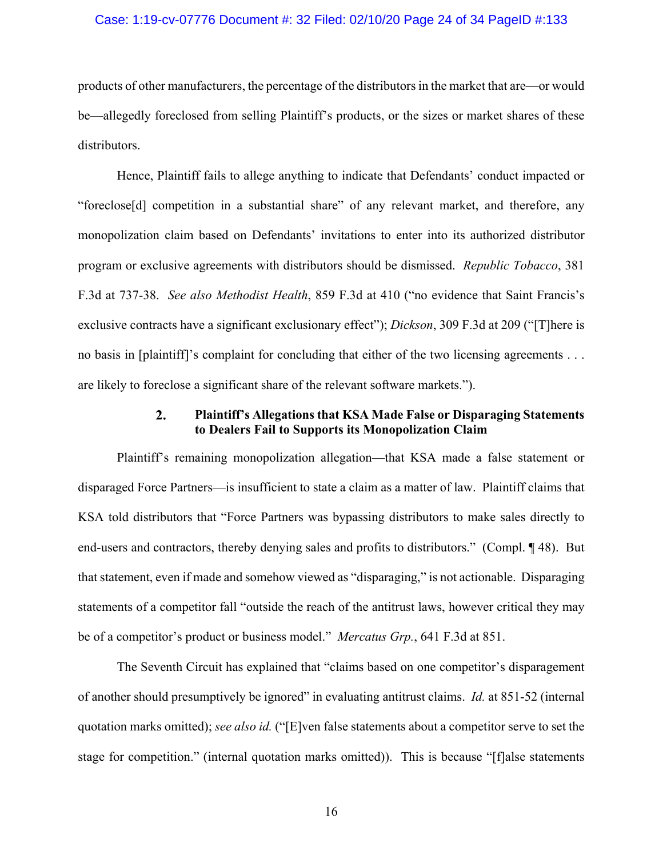#### Case: 1:19-cv-07776 Document #: 32 Filed: 02/10/20 Page 24 of 34 PageID #:133

products of other manufacturers, the percentage of the distributors in the market that are—or would be—allegedly foreclosed from selling Plaintiff's products, or the sizes or market shares of these distributors.

Hence, Plaintiff fails to allege anything to indicate that Defendants' conduct impacted or "foreclose[d] competition in a substantial share" of any relevant market, and therefore, any monopolization claim based on Defendants' invitations to enter into its authorized distributor program or exclusive agreements with distributors should be dismissed. *Republic Tobacco*, 381 F.3d at 737-38. *See also Methodist Health*, 859 F.3d at 410 ("no evidence that Saint Francis's exclusive contracts have a significant exclusionary effect"); *Dickson*, 309 F.3d at 209 ("[T]here is no basis in [plaintiff]'s complaint for concluding that either of the two licensing agreements . . . are likely to foreclose a significant share of the relevant software markets.").

#### $2.$ **Plaintiff's Allegations that KSA Made False or Disparaging Statements to Dealers Fail to Supports its Monopolization Claim**

Plaintiff's remaining monopolization allegation—that KSA made a false statement or disparaged Force Partners—is insufficient to state a claim as a matter of law. Plaintiff claims that KSA told distributors that "Force Partners was bypassing distributors to make sales directly to end-users and contractors, thereby denying sales and profits to distributors." (Compl. ¶ 48). But that statement, even if made and somehow viewed as "disparaging," is not actionable. Disparaging statements of a competitor fall "outside the reach of the antitrust laws, however critical they may be of a competitor's product or business model." *Mercatus Grp.*, 641 F.3d at 851.

The Seventh Circuit has explained that "claims based on one competitor's disparagement of another should presumptively be ignored" in evaluating antitrust claims. *Id.* at 851-52 (internal quotation marks omitted); *see also id.* ("[E]ven false statements about a competitor serve to set the stage for competition." (internal quotation marks omitted)). This is because "[f]alse statements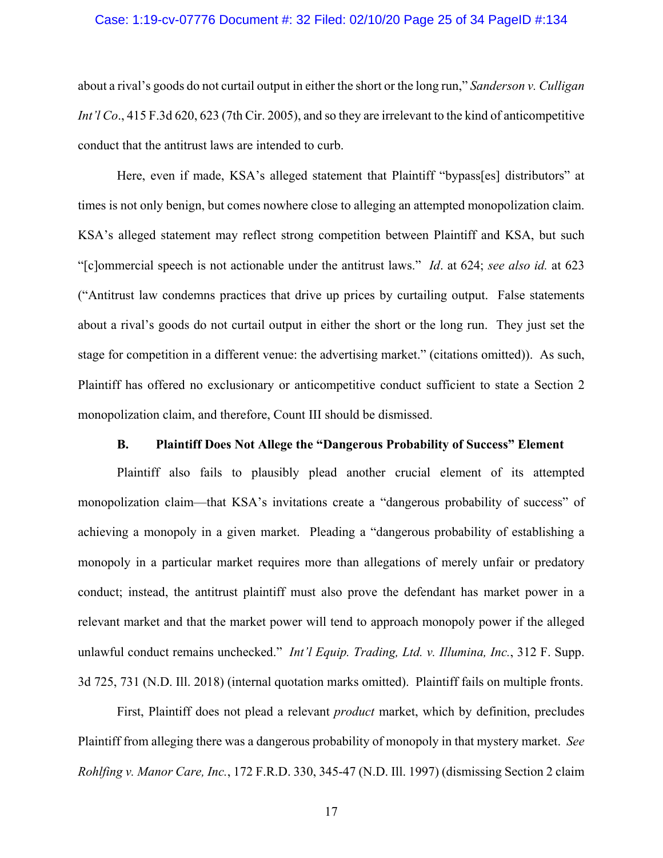#### Case: 1:19-cv-07776 Document #: 32 Filed: 02/10/20 Page 25 of 34 PageID #:134

about a rival's goods do not curtail output in either the short or the long run," *Sanderson v. Culligan Int'l Co.*, 415 F.3d 620, 623 (7th Cir. 2005), and so they are irrelevant to the kind of anticompetitive conduct that the antitrust laws are intended to curb.

Here, even if made, KSA's alleged statement that Plaintiff "bypass[es] distributors" at times is not only benign, but comes nowhere close to alleging an attempted monopolization claim. KSA's alleged statement may reflect strong competition between Plaintiff and KSA, but such "[c]ommercial speech is not actionable under the antitrust laws." *Id*. at 624; *see also id.* at 623 ("Antitrust law condemns practices that drive up prices by curtailing output. False statements about a rival's goods do not curtail output in either the short or the long run. They just set the stage for competition in a different venue: the advertising market." (citations omitted)). As such, Plaintiff has offered no exclusionary or anticompetitive conduct sufficient to state a Section 2 monopolization claim, and therefore, Count III should be dismissed.

### **B. Plaintiff Does Not Allege the "Dangerous Probability of Success" Element**

Plaintiff also fails to plausibly plead another crucial element of its attempted monopolization claim—that KSA's invitations create a "dangerous probability of success" of achieving a monopoly in a given market. Pleading a "dangerous probability of establishing a monopoly in a particular market requires more than allegations of merely unfair or predatory conduct; instead, the antitrust plaintiff must also prove the defendant has market power in a relevant market and that the market power will tend to approach monopoly power if the alleged unlawful conduct remains unchecked." *Int'l Equip. Trading, Ltd. v. Illumina, Inc.*, 312 F. Supp. 3d 725, 731 (N.D. Ill. 2018) (internal quotation marks omitted). Plaintiff fails on multiple fronts.

First, Plaintiff does not plead a relevant *product* market, which by definition, precludes Plaintiff from alleging there was a dangerous probability of monopoly in that mystery market. *See Rohlfing v. Manor Care, Inc.*, 172 F.R.D. 330, 345-47 (N.D. Ill. 1997) (dismissing Section 2 claim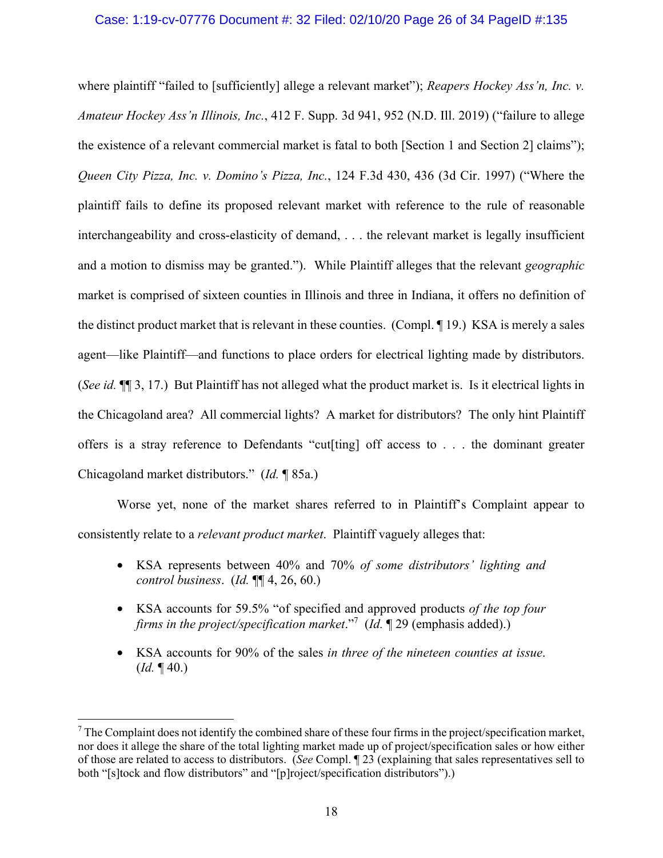### Case: 1:19-cv-07776 Document #: 32 Filed: 02/10/20 Page 26 of 34 PageID #:135

where plaintiff "failed to [sufficiently] allege a relevant market"); *Reapers Hockey Ass'n, Inc. v. Amateur Hockey Ass'n Illinois, Inc.*, 412 F. Supp. 3d 941, 952 (N.D. Ill. 2019) ("failure to allege the existence of a relevant commercial market is fatal to both [Section 1 and Section 2] claims"); *Queen City Pizza, Inc. v. Domino's Pizza, Inc.*, 124 F.3d 430, 436 (3d Cir. 1997) ("Where the plaintiff fails to define its proposed relevant market with reference to the rule of reasonable interchangeability and cross-elasticity of demand, . . . the relevant market is legally insufficient and a motion to dismiss may be granted."). While Plaintiff alleges that the relevant *geographic* market is comprised of sixteen counties in Illinois and three in Indiana, it offers no definition of the distinct product market that is relevant in these counties. (Compl. ¶ 19.) KSA is merely a sales agent—like Plaintiff—and functions to place orders for electrical lighting made by distributors. (*See id.* ¶¶ 3, 17.) But Plaintiff has not alleged what the product market is. Is it electrical lights in the Chicagoland area? All commercial lights? A market for distributors? The only hint Plaintiff offers is a stray reference to Defendants "cut[ting] off access to . . . the dominant greater Chicagoland market distributors." (*Id.* ¶ 85a.)

Worse yet, none of the market shares referred to in Plaintiff's Complaint appear to consistently relate to a *relevant product market*. Plaintiff vaguely alleges that:

- KSA represents between 40% and 70% *of some distributors' lighting and control business*. (*Id.* ¶¶ 4, 26, 60.)
- KSA accounts for 59.5% "of specified and approved products *of the top four firms in the project/specification market*."7 (*Id.* ¶ 29 (emphasis added).)
- KSA accounts for 90% of the sales *in three of the nineteen counties at issue*. (*Id.* ¶ 40.)

<u>.</u>

 $7$  The Complaint does not identify the combined share of these four firms in the project/specification market, nor does it allege the share of the total lighting market made up of project/specification sales or how either of those are related to access to distributors. (*See* Compl. ¶ 23 (explaining that sales representatives sell to both "[s]tock and flow distributors" and "[p]roject/specification distributors").)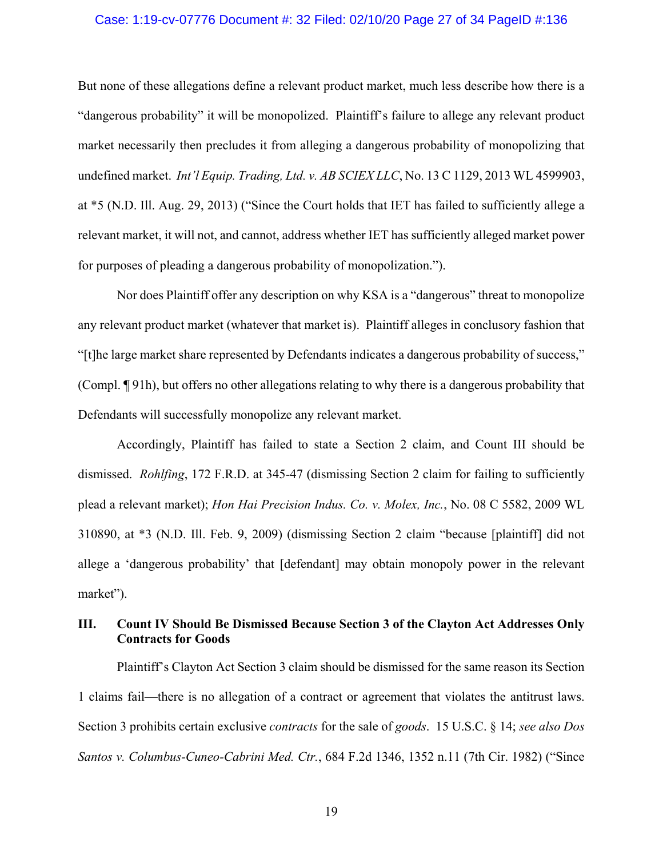#### Case: 1:19-cv-07776 Document #: 32 Filed: 02/10/20 Page 27 of 34 PageID #:136

But none of these allegations define a relevant product market, much less describe how there is a "dangerous probability" it will be monopolized. Plaintiff's failure to allege any relevant product market necessarily then precludes it from alleging a dangerous probability of monopolizing that undefined market. *Int'l Equip. Trading, Ltd. v. AB SCIEX LLC*, No. 13 C 1129, 2013 WL 4599903, at \*5 (N.D. Ill. Aug. 29, 2013) ("Since the Court holds that IET has failed to sufficiently allege a relevant market, it will not, and cannot, address whether IET has sufficiently alleged market power for purposes of pleading a dangerous probability of monopolization.").

Nor does Plaintiff offer any description on why KSA is a "dangerous" threat to monopolize any relevant product market (whatever that market is). Plaintiff alleges in conclusory fashion that "[t]he large market share represented by Defendants indicates a dangerous probability of success," (Compl. ¶ 91h), but offers no other allegations relating to why there is a dangerous probability that Defendants will successfully monopolize any relevant market.

Accordingly, Plaintiff has failed to state a Section 2 claim, and Count III should be dismissed. *Rohlfing*, 172 F.R.D. at 345-47 (dismissing Section 2 claim for failing to sufficiently plead a relevant market); *Hon Hai Precision Indus. Co. v. Molex, Inc.*, No. 08 C 5582, 2009 WL 310890, at \*3 (N.D. Ill. Feb. 9, 2009) (dismissing Section 2 claim "because [plaintiff] did not allege a 'dangerous probability' that [defendant] may obtain monopoly power in the relevant market").

# **III. Count IV Should Be Dismissed Because Section 3 of the Clayton Act Addresses Only Contracts for Goods**

Plaintiff's Clayton Act Section 3 claim should be dismissed for the same reason its Section 1 claims fail—there is no allegation of a contract or agreement that violates the antitrust laws. Section 3 prohibits certain exclusive *contracts* for the sale of *goods*. 15 U.S.C. § 14; *see also Dos Santos v. Columbus-Cuneo-Cabrini Med. Ctr.*, 684 F.2d 1346, 1352 n.11 (7th Cir. 1982) ("Since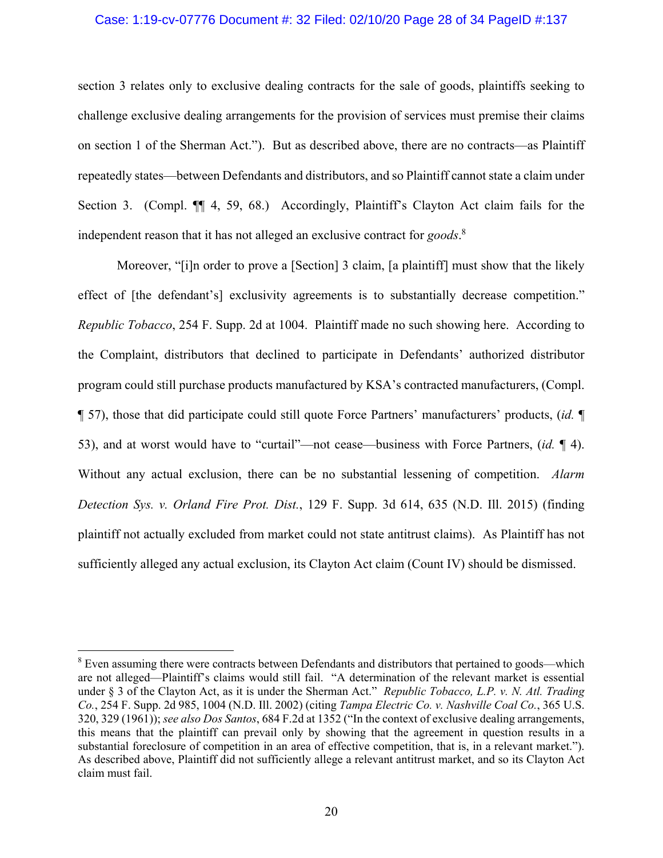### Case: 1:19-cv-07776 Document #: 32 Filed: 02/10/20 Page 28 of 34 PageID #:137

section 3 relates only to exclusive dealing contracts for the sale of goods, plaintiffs seeking to challenge exclusive dealing arrangements for the provision of services must premise their claims on section 1 of the Sherman Act."). But as described above, there are no contracts—as Plaintiff repeatedly states—between Defendants and distributors, and so Plaintiff cannot state a claim under Section 3. (Compl.  $\P$  4, 59, 68.) Accordingly, Plaintiff's Clayton Act claim fails for the independent reason that it has not alleged an exclusive contract for *goods*. 8

Moreover, "[i]n order to prove a [Section] 3 claim, [a plaintiff] must show that the likely effect of [the defendant's] exclusivity agreements is to substantially decrease competition." *Republic Tobacco*, 254 F. Supp. 2d at 1004. Plaintiff made no such showing here. According to the Complaint, distributors that declined to participate in Defendants' authorized distributor program could still purchase products manufactured by KSA's contracted manufacturers, (Compl. ¶ 57), those that did participate could still quote Force Partners' manufacturers' products, (*id.* ¶ 53), and at worst would have to "curtail"—not cease—business with Force Partners, (*id.* ¶ 4). Without any actual exclusion, there can be no substantial lessening of competition. *Alarm Detection Sys. v. Orland Fire Prot. Dist.*, 129 F. Supp. 3d 614, 635 (N.D. Ill. 2015) (finding plaintiff not actually excluded from market could not state antitrust claims). As Plaintiff has not sufficiently alleged any actual exclusion, its Clayton Act claim (Count IV) should be dismissed.

 $\overline{a}$ 

 $8$  Even assuming there were contracts between Defendants and distributors that pertained to goods—which are not alleged—Plaintiff's claims would still fail. "A determination of the relevant market is essential under § 3 of the Clayton Act, as it is under the Sherman Act." *Republic Tobacco, L.P. v. N. Atl. Trading Co.*, 254 F. Supp. 2d 985, 1004 (N.D. Ill. 2002) (citing *Tampa Electric Co. v. Nashville Coal Co.*, 365 U.S. 320, 329 (1961)); *see also Dos Santos*, 684 F.2d at 1352 ("In the context of exclusive dealing arrangements, this means that the plaintiff can prevail only by showing that the agreement in question results in a substantial foreclosure of competition in an area of effective competition, that is, in a relevant market."). As described above, Plaintiff did not sufficiently allege a relevant antitrust market, and so its Clayton Act claim must fail.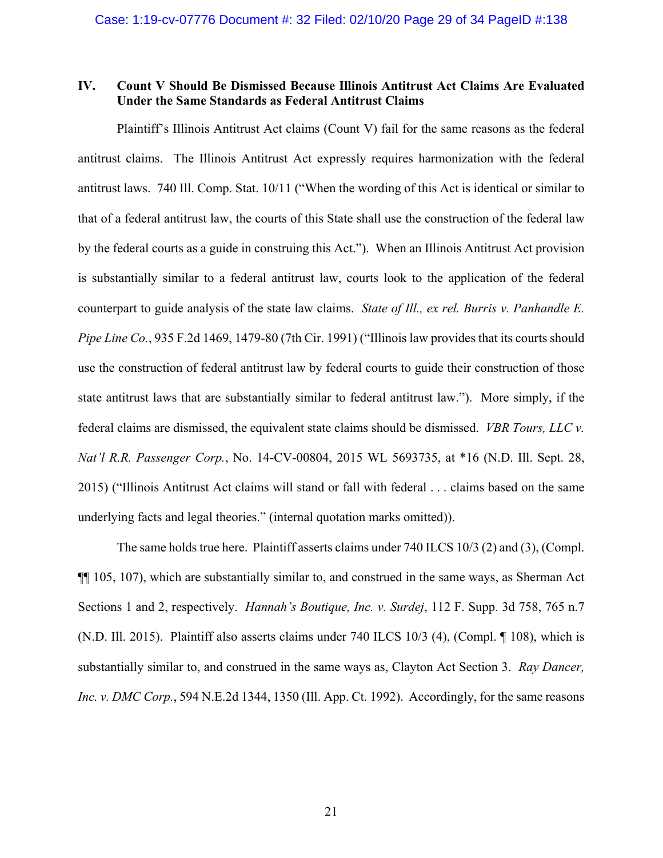# **IV. Count V Should Be Dismissed Because Illinois Antitrust Act Claims Are Evaluated Under the Same Standards as Federal Antitrust Claims**

Plaintiff's Illinois Antitrust Act claims (Count V) fail for the same reasons as the federal antitrust claims. The Illinois Antitrust Act expressly requires harmonization with the federal antitrust laws. 740 Ill. Comp. Stat. 10/11 ("When the wording of this Act is identical or similar to that of a federal antitrust law, the courts of this State shall use the construction of the federal law by the federal courts as a guide in construing this Act."). When an Illinois Antitrust Act provision is substantially similar to a federal antitrust law, courts look to the application of the federal counterpart to guide analysis of the state law claims. *State of Ill., ex rel. Burris v. Panhandle E. Pipe Line Co.*, 935 F.2d 1469, 1479-80 (7th Cir. 1991) ("Illinois law provides that its courts should use the construction of federal antitrust law by federal courts to guide their construction of those state antitrust laws that are substantially similar to federal antitrust law."). More simply, if the federal claims are dismissed, the equivalent state claims should be dismissed. *VBR Tours, LLC v. Nat'l R.R. Passenger Corp.*, No. 14-CV-00804, 2015 WL 5693735, at \*16 (N.D. Ill. Sept. 28, 2015) ("Illinois Antitrust Act claims will stand or fall with federal . . . claims based on the same underlying facts and legal theories." (internal quotation marks omitted)).

The same holds true here. Plaintiff asserts claims under 740 ILCS 10/3 (2) and (3), (Compl. ¶¶ 105, 107), which are substantially similar to, and construed in the same ways, as Sherman Act Sections 1 and 2, respectively. *Hannah's Boutique, Inc. v. Surdej*, 112 F. Supp. 3d 758, 765 n.7 (N.D. Ill. 2015). Plaintiff also asserts claims under 740 ILCS 10/3 (4), (Compl. ¶ 108), which is substantially similar to, and construed in the same ways as, Clayton Act Section 3. *Ray Dancer, Inc. v. DMC Corp.*, 594 N.E.2d 1344, 1350 (Ill. App. Ct. 1992). Accordingly, for the same reasons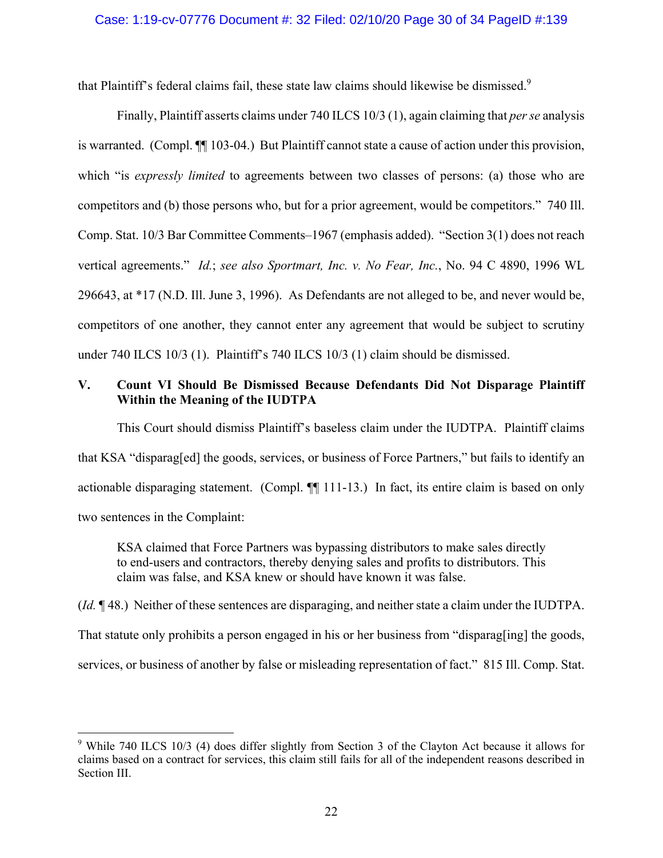that Plaintiff's federal claims fail, these state law claims should likewise be dismissed.<sup>9</sup>

Finally, Plaintiff asserts claims under 740 ILCS 10/3 (1), again claiming that *per se* analysis is warranted. (Compl. ¶¶ 103-04.) But Plaintiff cannot state a cause of action under this provision, which "is *expressly limited* to agreements between two classes of persons: (a) those who are competitors and (b) those persons who, but for a prior agreement, would be competitors." 740 Ill. Comp. Stat. 10/3 Bar Committee Comments–1967 (emphasis added). "Section 3(1) does not reach vertical agreements." *Id.*; *see also Sportmart, Inc. v. No Fear, Inc.*, No. 94 C 4890, 1996 WL 296643, at \*17 (N.D. Ill. June 3, 1996). As Defendants are not alleged to be, and never would be, competitors of one another, they cannot enter any agreement that would be subject to scrutiny under 740 ILCS 10/3 (1). Plaintiff's 740 ILCS 10/3 (1) claim should be dismissed.

# **V. Count VI Should Be Dismissed Because Defendants Did Not Disparage Plaintiff Within the Meaning of the IUDTPA**

This Court should dismiss Plaintiff's baseless claim under the IUDTPA. Plaintiff claims that KSA "disparag[ed] the goods, services, or business of Force Partners," but fails to identify an actionable disparaging statement. (Compl. ¶¶ 111-13.) In fact, its entire claim is based on only two sentences in the Complaint:

KSA claimed that Force Partners was bypassing distributors to make sales directly to end-users and contractors, thereby denying sales and profits to distributors. This claim was false, and KSA knew or should have known it was false.

(*Id.* ¶ 48.) Neither of these sentences are disparaging, and neither state a claim under the IUDTPA.

That statute only prohibits a person engaged in his or her business from "disparag[ing] the goods,

services, or business of another by false or misleading representation of fact." 815 Ill. Comp. Stat.

 $\overline{a}$ 

<sup>&</sup>lt;sup>9</sup> While 740 ILCS 10/3 (4) does differ slightly from Section 3 of the Clayton Act because it allows for claims based on a contract for services, this claim still fails for all of the independent reasons described in Section III.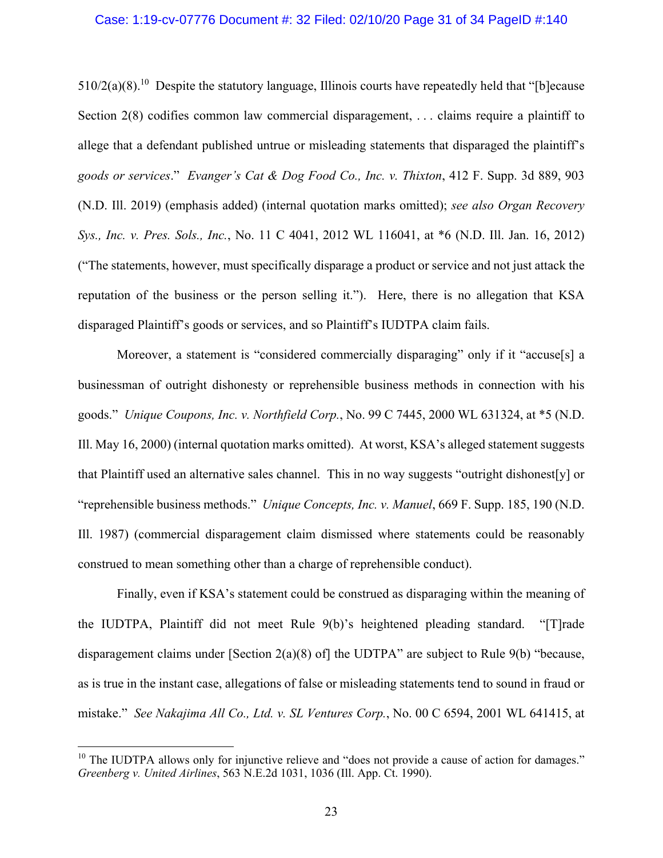#### Case: 1:19-cv-07776 Document #: 32 Filed: 02/10/20 Page 31 of 34 PageID #:140

 $510/2(a)(8)$ .<sup>10</sup> Despite the statutory language, Illinois courts have repeatedly held that "[b]ecause Section 2(8) codifies common law commercial disparagement, ... claims require a plaintiff to allege that a defendant published untrue or misleading statements that disparaged the plaintiff's *goods or services*." *Evanger's Cat & Dog Food Co., Inc. v. Thixton*, 412 F. Supp. 3d 889, 903 (N.D. Ill. 2019) (emphasis added) (internal quotation marks omitted); *see also Organ Recovery Sys., Inc. v. Pres. Sols., Inc.*, No. 11 C 4041, 2012 WL 116041, at \*6 (N.D. Ill. Jan. 16, 2012) ("The statements, however, must specifically disparage a product or service and not just attack the reputation of the business or the person selling it."). Here, there is no allegation that KSA disparaged Plaintiff's goods or services, and so Plaintiff's IUDTPA claim fails.

Moreover, a statement is "considered commercially disparaging" only if it "accuse[s] a businessman of outright dishonesty or reprehensible business methods in connection with his goods." *Unique Coupons, Inc. v. Northfield Corp.*, No. 99 C 7445, 2000 WL 631324, at \*5 (N.D. Ill. May 16, 2000) (internal quotation marks omitted). At worst, KSA's alleged statement suggests that Plaintiff used an alternative sales channel. This in no way suggests "outright dishonest[y] or "reprehensible business methods." *Unique Concepts, Inc. v. Manuel*, 669 F. Supp. 185, 190 (N.D. Ill. 1987) (commercial disparagement claim dismissed where statements could be reasonably construed to mean something other than a charge of reprehensible conduct).

Finally, even if KSA's statement could be construed as disparaging within the meaning of the IUDTPA, Plaintiff did not meet Rule 9(b)'s heightened pleading standard. "[T]rade disparagement claims under [Section 2(a)(8) of] the UDTPA" are subject to Rule 9(b) "because, as is true in the instant case, allegations of false or misleading statements tend to sound in fraud or mistake." *See Nakajima All Co., Ltd. v. SL Ventures Corp.*, No. 00 C 6594, 2001 WL 641415, at

 $\overline{a}$ 

<sup>&</sup>lt;sup>10</sup> The IUDTPA allows only for injunctive relieve and "does not provide a cause of action for damages." *Greenberg v. United Airlines*, 563 N.E.2d 1031, 1036 (Ill. App. Ct. 1990).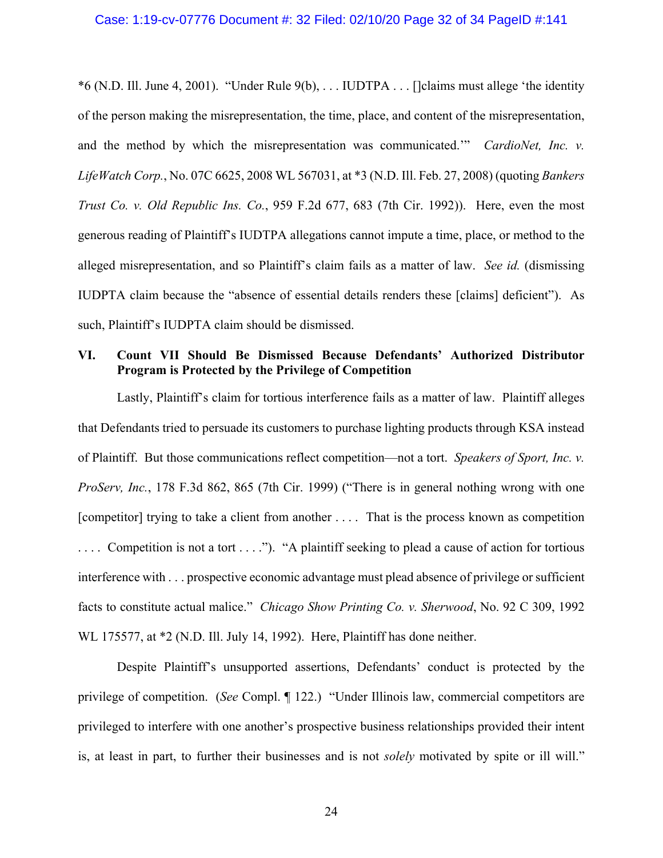#### Case: 1:19-cv-07776 Document #: 32 Filed: 02/10/20 Page 32 of 34 PageID #:141

\*6 (N.D. Ill. June 4, 2001). "Under Rule 9(b), . . . IUDTPA . . . []claims must allege 'the identity of the person making the misrepresentation, the time, place, and content of the misrepresentation, and the method by which the misrepresentation was communicated.'" *CardioNet, Inc. v. LifeWatch Corp.*, No. 07C 6625, 2008 WL 567031, at \*3 (N.D. Ill. Feb. 27, 2008) (quoting *Bankers Trust Co. v. Old Republic Ins. Co.*, 959 F.2d 677, 683 (7th Cir. 1992)). Here, even the most generous reading of Plaintiff's IUDTPA allegations cannot impute a time, place, or method to the alleged misrepresentation, and so Plaintiff's claim fails as a matter of law. *See id.* (dismissing IUDPTA claim because the "absence of essential details renders these [claims] deficient"). As such, Plaintiff's IUDPTA claim should be dismissed.

# **VI. Count VII Should Be Dismissed Because Defendants' Authorized Distributor Program is Protected by the Privilege of Competition**

Lastly, Plaintiff's claim for tortious interference fails as a matter of law. Plaintiff alleges that Defendants tried to persuade its customers to purchase lighting products through KSA instead of Plaintiff. But those communications reflect competition—not a tort. *Speakers of Sport, Inc. v. ProServ, Inc.*, 178 F.3d 862, 865 (7th Cir. 1999) ("There is in general nothing wrong with one [competitor] trying to take a client from another . . . . That is the process known as competition .... Competition is not a tort ...."). "A plaintiff seeking to plead a cause of action for tortious interference with . . . prospective economic advantage must plead absence of privilege or sufficient facts to constitute actual malice." *Chicago Show Printing Co. v. Sherwood*, No. 92 C 309, 1992 WL 175577, at \*2 (N.D. Ill. July 14, 1992). Here, Plaintiff has done neither.

Despite Plaintiff's unsupported assertions, Defendants' conduct is protected by the privilege of competition. (*See* Compl. ¶ 122.) "Under Illinois law, commercial competitors are privileged to interfere with one another's prospective business relationships provided their intent is, at least in part, to further their businesses and is not *solely* motivated by spite or ill will."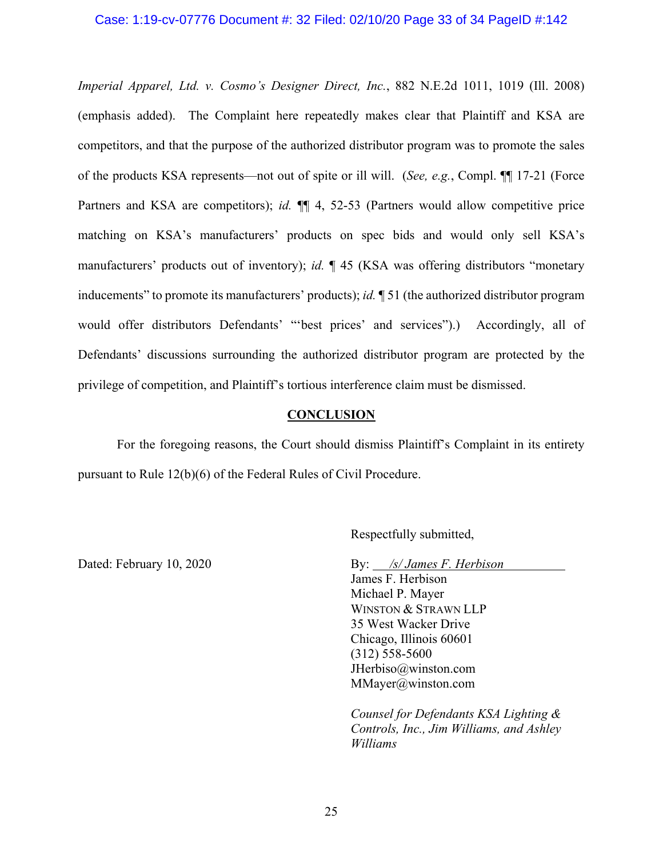### Case: 1:19-cv-07776 Document #: 32 Filed: 02/10/20 Page 33 of 34 PageID #:142

*Imperial Apparel, Ltd. v. Cosmo's Designer Direct, Inc.*, 882 N.E.2d 1011, 1019 (Ill. 2008) (emphasis added). The Complaint here repeatedly makes clear that Plaintiff and KSA are competitors, and that the purpose of the authorized distributor program was to promote the sales of the products KSA represents—not out of spite or ill will. (*See, e.g.*, Compl. ¶¶ 17-21 (Force Partners and KSA are competitors); *id.* ¶¶ 4, 52-53 (Partners would allow competitive price matching on KSA's manufacturers' products on spec bids and would only sell KSA's manufacturers' products out of inventory); *id.* ¶ 45 (KSA was offering distributors "monetary inducements" to promote its manufacturers' products); *id.* ¶ 51 (the authorized distributor program would offer distributors Defendants' "'best prices' and services").) Accordingly, all of Defendants' discussions surrounding the authorized distributor program are protected by the privilege of competition, and Plaintiff's tortious interference claim must be dismissed.

#### **CONCLUSION**

For the foregoing reasons, the Court should dismiss Plaintiff's Complaint in its entirety pursuant to Rule 12(b)(6) of the Federal Rules of Civil Procedure.

Respectfully submitted,

Dated: February 10, 2020 By: */s/ James F. Herbison* 

James F. Herbison Michael P. Mayer WINSTON & STRAWN LLP 35 West Wacker Drive Chicago, Illinois 60601 (312) 558-5600 JHerbiso@winston.com MMayer@winston.com

*Counsel for Defendants KSA Lighting & Controls, Inc., Jim Williams, and Ashley Williams*